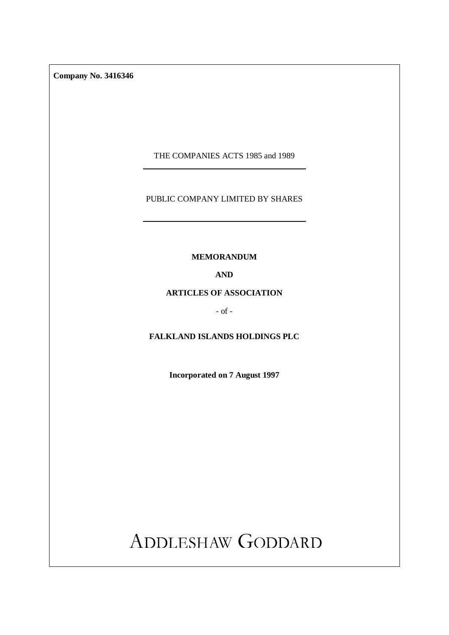**Company No. 3416346** 

THE COMPANIES ACTS 1985 and 1989

## PUBLIC COMPANY LIMITED BY SHARES

**MEMORANDUM** 

**AND** 

## **ARTICLES OF ASSOCIATION**

 $-$  of  $-$ 

# **FALKLAND ISLANDS HOLDINGS PLC**

**Incorporated on 7 August 1997** 

ADDLESHAW GODDARD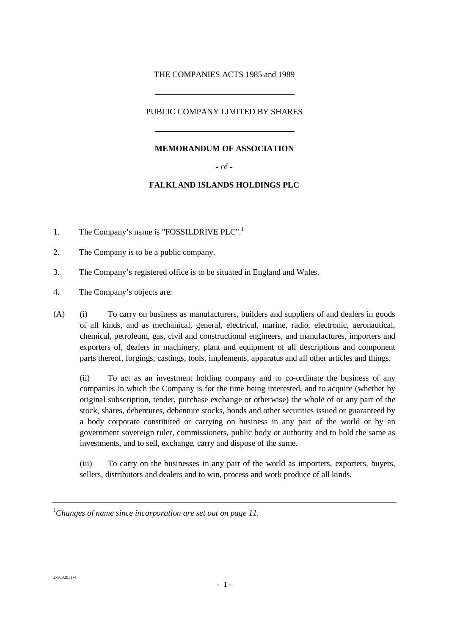## THE COMPANIES ACTS 1985 and 1989

## PUBLIC COMPANY LIMITED BY SHARES

#### **MEMORANDUM OF ASSOCIATION**

- of -

#### **FALKLAND ISLANDS HOLDINGS PLC**

- 1. The Company's name is "FOSSILDRIVE PLC".<sup>1</sup>
- 2. The Company is to be a public company.
- 3. The Company's registered office is to be situated in England and Wales.
- 4. The Company's objects are:
- (A) (i) To carry on business as manufacturers, builders and suppliers of and dealers in goods of all kinds, and as mechanical, general, electrical, marine, radio, electronic, aeronautical, chemical, petroleum, gas, civil and constructional engineers, and manufactures, importers and exporters of, dealers in machinery, plant and equipment of all descriptions and component parts thereof, forgings, castings, tools, implements, apparatus and all other articles and things.

 (ii) To act as an investment holding company and to co-ordinate the business of any companies in which the Company is for the time being interested, and to acquire (whether by original subscription, tender, purchase exchange or otherwise) the whole of or any part of the stock, shares, debentures, debenture stocks, bonds and other securities issued or guaranteed by a body corporate constituted or carrying on business in any part of the world or by an government sovereign ruler, commissioners, public body or authority and to hold the same as investments, and to sell, exchange, carry and dispose of the same.

 (iii) To carry on the businesses in any part of the world as importers, exporters, buyers, sellers, distributors and dealers and to win, process and work produce of all kinds.

<sup>1</sup> *Changes of name since incorporation are set out on page 11.*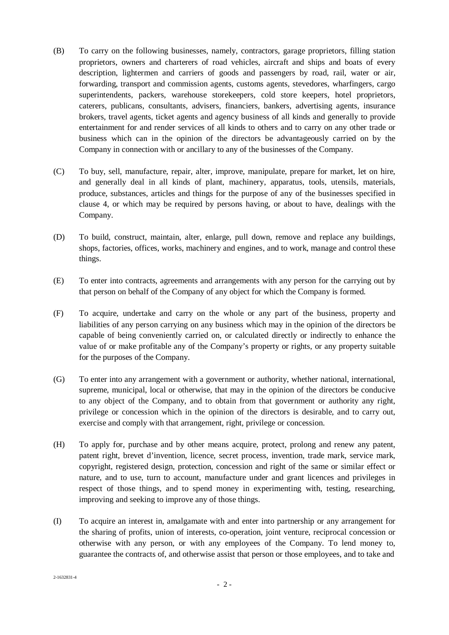- (B) To carry on the following businesses, namely, contractors, garage proprietors, filling station proprietors, owners and charterers of road vehicles, aircraft and ships and boats of every description, lightermen and carriers of goods and passengers by road, rail, water or air, forwarding, transport and commission agents, customs agents, stevedores, wharfingers, cargo superintendents, packers, warehouse storekeepers, cold store keepers, hotel proprietors, caterers, publicans, consultants, advisers, financiers, bankers, advertising agents, insurance brokers, travel agents, ticket agents and agency business of all kinds and generally to provide entertainment for and render services of all kinds to others and to carry on any other trade or business which can in the opinion of the directors be advantageously carried on by the Company in connection with or ancillary to any of the businesses of the Company.
- (C) To buy, sell, manufacture, repair, alter, improve, manipulate, prepare for market, let on hire, and generally deal in all kinds of plant, machinery, apparatus, tools, utensils, materials, produce, substances, articles and things for the purpose of any of the businesses specified in clause 4, or which may be required by persons having, or about to have, dealings with the Company.
- (D) To build, construct, maintain, alter, enlarge, pull down, remove and replace any buildings, shops, factories, offices, works, machinery and engines, and to work, manage and control these things.
- (E) To enter into contracts, agreements and arrangements with any person for the carrying out by that person on behalf of the Company of any object for which the Company is formed.
- (F) To acquire, undertake and carry on the whole or any part of the business, property and liabilities of any person carrying on any business which may in the opinion of the directors be capable of being conveniently carried on, or calculated directly or indirectly to enhance the value of or make profitable any of the Company's property or rights, or any property suitable for the purposes of the Company.
- (G) To enter into any arrangement with a government or authority, whether national, international, supreme, municipal, local or otherwise, that may in the opinion of the directors be conducive to any object of the Company, and to obtain from that government or authority any right, privilege or concession which in the opinion of the directors is desirable, and to carry out, exercise and comply with that arrangement, right, privilege or concession.
- (H) To apply for, purchase and by other means acquire, protect, prolong and renew any patent, patent right, brevet d'invention, licence, secret process, invention, trade mark, service mark, copyright, registered design, protection, concession and right of the same or similar effect or nature, and to use, turn to account, manufacture under and grant licences and privileges in respect of those things, and to spend money in experimenting with, testing, researching, improving and seeking to improve any of those things.
- (I) To acquire an interest in, amalgamate with and enter into partnership or any arrangement for the sharing of profits, union of interests, co-operation, joint venture, reciprocal concession or otherwise with any person, or with any employees of the Company. To lend money to, guarantee the contracts of, and otherwise assist that person or those employees, and to take and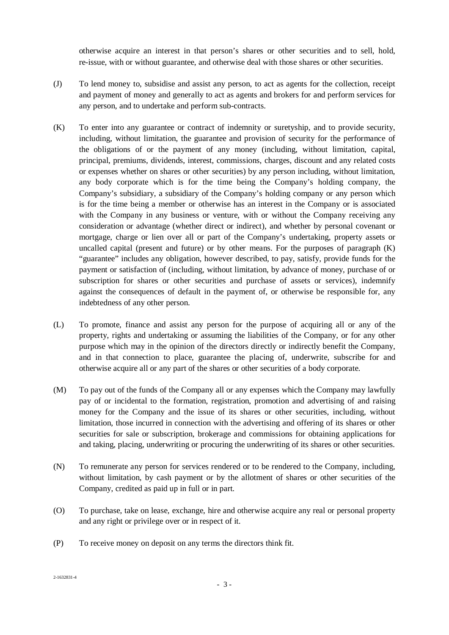otherwise acquire an interest in that person's shares or other securities and to sell, hold, re-issue, with or without guarantee, and otherwise deal with those shares or other securities.

- (J) To lend money to, subsidise and assist any person, to act as agents for the collection, receipt and payment of money and generally to act as agents and brokers for and perform services for any person, and to undertake and perform sub-contracts.
- (K) To enter into any guarantee or contract of indemnity or suretyship, and to provide security, including, without limitation, the guarantee and provision of security for the performance of the obligations of or the payment of any money (including, without limitation, capital, principal, premiums, dividends, interest, commissions, charges, discount and any related costs or expenses whether on shares or other securities) by any person including, without limitation, any body corporate which is for the time being the Company's holding company, the Company's subsidiary, a subsidiary of the Company's holding company or any person which is for the time being a member or otherwise has an interest in the Company or is associated with the Company in any business or venture, with or without the Company receiving any consideration or advantage (whether direct or indirect), and whether by personal covenant or mortgage, charge or lien over all or part of the Company's undertaking, property assets or uncalled capital (present and future) or by other means. For the purposes of paragraph (K) "guarantee" includes any obligation, however described, to pay, satisfy, provide funds for the payment or satisfaction of (including, without limitation, by advance of money, purchase of or subscription for shares or other securities and purchase of assets or services), indemnify against the consequences of default in the payment of, or otherwise be responsible for, any indebtedness of any other person.
- (L) To promote, finance and assist any person for the purpose of acquiring all or any of the property, rights and undertaking or assuming the liabilities of the Company, or for any other purpose which may in the opinion of the directors directly or indirectly benefit the Company, and in that connection to place, guarantee the placing of, underwrite, subscribe for and otherwise acquire all or any part of the shares or other securities of a body corporate.
- (M) To pay out of the funds of the Company all or any expenses which the Company may lawfully pay of or incidental to the formation, registration, promotion and advertising of and raising money for the Company and the issue of its shares or other securities, including, without limitation, those incurred in connection with the advertising and offering of its shares or other securities for sale or subscription, brokerage and commissions for obtaining applications for and taking, placing, underwriting or procuring the underwriting of its shares or other securities.
- (N) To remunerate any person for services rendered or to be rendered to the Company, including, without limitation, by cash payment or by the allotment of shares or other securities of the Company, credited as paid up in full or in part.
- (O) To purchase, take on lease, exchange, hire and otherwise acquire any real or personal property and any right or privilege over or in respect of it.
- (P) To receive money on deposit on any terms the directors think fit.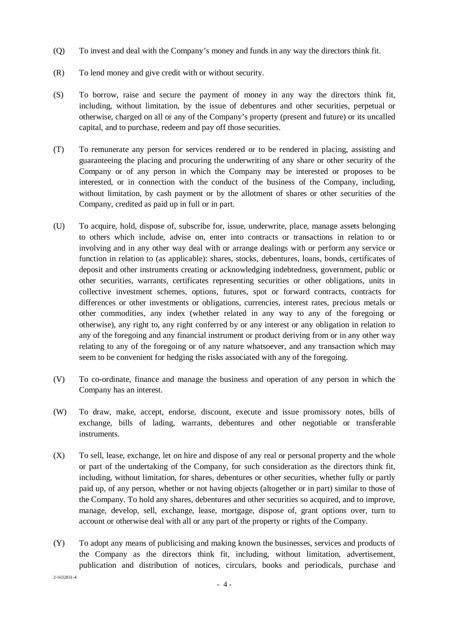- (Q) To invest and deal with the Company's money and funds in any way the directors think fit.
- (R) To lend money and give credit with or without security.
- (S) To borrow, raise and secure the payment of money in any way the directors think fit, including, without limitation, by the issue of debentures and other securities, perpetual or otherwise, charged on all or any of the Company's property (present and future) or its uncalled capital, and to purchase, redeem and pay off those securities.
- (T) To remunerate any person for services rendered or to be rendered in placing, assisting and guaranteeing the placing and procuring the underwriting of any share or other security of the Company or of any person in which the Company may be interested or proposes to be interested, or in connection with the conduct of the business of the Company, including, without limitation, by cash payment or by the allotment of shares or other securities of the Company, credited as paid up in full or in part.
- (U) To acquire, hold, dispose of, subscribe for, issue, underwrite, place, manage assets belonging to others which include, advise on, enter into contracts or transactions in relation to or involving and in any other way deal with or arrange dealings with or perform any service or function in relation to (as applicable): shares, stocks, debentures, loans, bonds, certificates of deposit and other instruments creating or acknowledging indebtedness, government, public or other securities, warrants, certificates representing securities or other obligations, units in collective investment schemes, options, futures, spot or forward contracts, contracts for differences or other investments or obligations, currencies, interest rates, precious metals or other commodities, any index (whether related in any way to any of the foregoing or otherwise), any right to, any right conferred by or any interest or any obligation in relation to any of the foregoing and any financial instrument or product deriving from or in any other way relating to any of the foregoing or of any nature whatsoever, and any transaction which may seem to be convenient for hedging the risks associated with any of the foregoing.
- (V) To co-ordinate, finance and manage the business and operation of any person in which the Company has an interest.
- (W) To draw, make, accept, endorse, discount, execute and issue promissory notes, bills of exchange, bills of lading, warrants, debentures and other negotiable or transferable instruments.
- (X) To sell, lease, exchange, let on hire and dispose of any real or personal property and the whole or part of the undertaking of the Company, for such consideration as the directors think fit, including, without limitation, for shares, debentures or other securities, whether fully or partly paid up, of any person, whether or not having objects (altogether or in part) similar to those of the Company. To hold any shares, debentures and other securities so acquired, and to improve, manage, develop, sell, exchange, lease, mortgage, dispose of, grant options over, turn to account or otherwise deal with all or any part of the property or rights of the Company.
- (Y) To adopt any means of publicising and making known the businesses, services and products of the Company as the directors think fit, including, without limitation, advertisement, publication and distribution of notices, circulars, books and periodicals, purchase and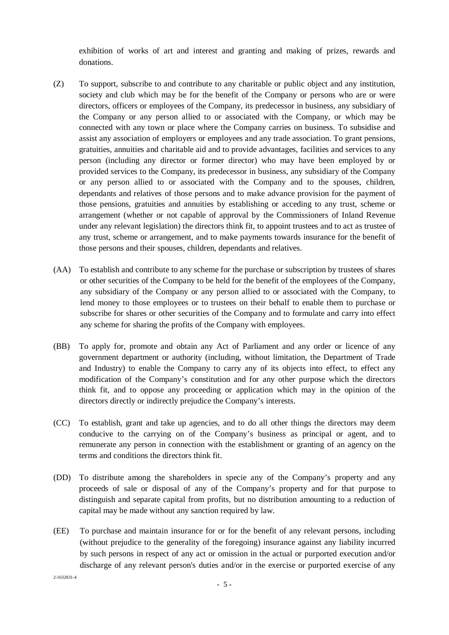exhibition of works of art and interest and granting and making of prizes, rewards and donations.

- (Z) To support, subscribe to and contribute to any charitable or public object and any institution, society and club which may be for the benefit of the Company or persons who are or were directors, officers or employees of the Company, its predecessor in business, any subsidiary of the Company or any person allied to or associated with the Company, or which may be connected with any town or place where the Company carries on business. To subsidise and assist any association of employers or employees and any trade association. To grant pensions, gratuities, annuities and charitable aid and to provide advantages, facilities and services to any person (including any director or former director) who may have been employed by or provided services to the Company, its predecessor in business, any subsidiary of the Company or any person allied to or associated with the Company and to the spouses, children, dependants and relatives of those persons and to make advance provision for the payment of those pensions, gratuities and annuities by establishing or acceding to any trust, scheme or arrangement (whether or not capable of approval by the Commissioners of Inland Revenue under any relevant legislation) the directors think fit, to appoint trustees and to act as trustee of any trust, scheme or arrangement, and to make payments towards insurance for the benefit of those persons and their spouses, children, dependants and relatives.
- (AA) To establish and contribute to any scheme for the purchase or subscription by trustees of shares or other securities of the Company to be held for the benefit of the employees of the Company, any subsidiary of the Company or any person allied to or associated with the Company, to lend money to those employees or to trustees on their behalf to enable them to purchase or subscribe for shares or other securities of the Company and to formulate and carry into effect any scheme for sharing the profits of the Company with employees.
- (BB) To apply for, promote and obtain any Act of Parliament and any order or licence of any government department or authority (including, without limitation, the Department of Trade and Industry) to enable the Company to carry any of its objects into effect, to effect any modification of the Company's constitution and for any other purpose which the directors think fit, and to oppose any proceeding or application which may in the opinion of the directors directly or indirectly prejudice the Company's interests.
- (CC) To establish, grant and take up agencies, and to do all other things the directors may deem conducive to the carrying on of the Company's business as principal or agent, and to remunerate any person in connection with the establishment or granting of an agency on the terms and conditions the directors think fit.
- (DD) To distribute among the shareholders in specie any of the Company's property and any proceeds of sale or disposal of any of the Company's property and for that purpose to distinguish and separate capital from profits, but no distribution amounting to a reduction of capital may be made without any sanction required by law.
- (EE) To purchase and maintain insurance for or for the benefit of any relevant persons, including (without prejudice to the generality of the foregoing) insurance against any liability incurred by such persons in respect of any act or omission in the actual or purported execution and/or discharge of any relevant person's duties and/or in the exercise or purported exercise of any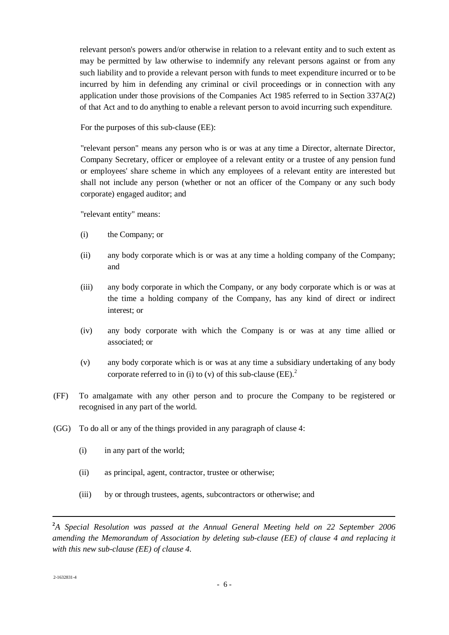relevant person's powers and/or otherwise in relation to a relevant entity and to such extent as may be permitted by law otherwise to indemnify any relevant persons against or from any such liability and to provide a relevant person with funds to meet expenditure incurred or to be incurred by him in defending any criminal or civil proceedings or in connection with any application under those provisions of the Companies Act 1985 referred to in Section 337A(2) of that Act and to do anything to enable a relevant person to avoid incurring such expenditure.

For the purposes of this sub-clause (EE):

"relevant person" means any person who is or was at any time a Director, alternate Director, Company Secretary, officer or employee of a relevant entity or a trustee of any pension fund or employees' share scheme in which any employees of a relevant entity are interested but shall not include any person (whether or not an officer of the Company or any such body corporate) engaged auditor; and

"relevant entity" means:

- (i) the Company; or
- (ii) any body corporate which is or was at any time a holding company of the Company; and
- (iii) any body corporate in which the Company, or any body corporate which is or was at the time a holding company of the Company, has any kind of direct or indirect interest; or
- (iv) any body corporate with which the Company is or was at any time allied or associated; or
- (v) any body corporate which is or was at any time a subsidiary undertaking of any body corporate referred to in (i) to (v) of this sub-clause  $(EE)$ <sup>2</sup>
- (FF) To amalgamate with any other person and to procure the Company to be registered or recognised in any part of the world.
- (GG) To do all or any of the things provided in any paragraph of clause 4:
	- (i) in any part of the world;
	- (ii) as principal, agent, contractor, trustee or otherwise;
	- (iii) by or through trustees, agents, subcontractors or otherwise; and

**<sup>2</sup>** *A Special Resolution was passed at the Annual General Meeting held on 22 September 2006 amending the Memorandum of Association by deleting sub-clause (EE) of clause 4 and replacing it with this new sub-clause (EE) of clause 4.*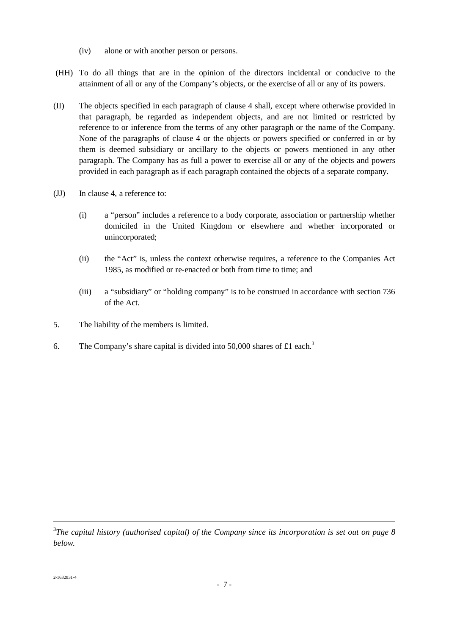- (iv) alone or with another person or persons.
- (HH) To do all things that are in the opinion of the directors incidental or conducive to the attainment of all or any of the Company's objects, or the exercise of all or any of its powers.
- (II) The objects specified in each paragraph of clause 4 shall, except where otherwise provided in that paragraph, be regarded as independent objects, and are not limited or restricted by reference to or inference from the terms of any other paragraph or the name of the Company. None of the paragraphs of clause 4 or the objects or powers specified or conferred in or by them is deemed subsidiary or ancillary to the objects or powers mentioned in any other paragraph. The Company has as full a power to exercise all or any of the objects and powers provided in each paragraph as if each paragraph contained the objects of a separate company.
- (JJ) In clause 4, a reference to:
	- (i) a "person" includes a reference to a body corporate, association or partnership whether domiciled in the United Kingdom or elsewhere and whether incorporated or unincorporated;
	- (ii) the "Act" is, unless the context otherwise requires, a reference to the Companies Act 1985, as modified or re-enacted or both from time to time; and
	- (iii) a "subsidiary" or "holding company" is to be construed in accordance with section 736 of the Act.
- 5. The liability of the members is limited.
- 6. The Company's share capital is divided into 50,000 shares of £1 each.<sup>3</sup>

<sup>3</sup> *The capital history (authorised capital) of the Company since its incorporation is set out on page 8 below.*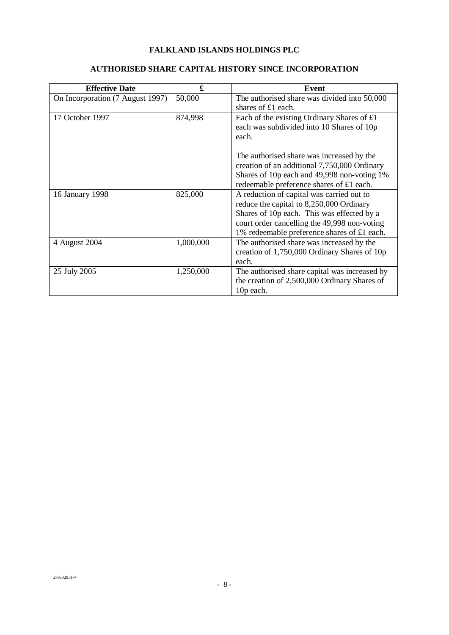# **FALKLAND ISLANDS HOLDINGS PLC**

# **AUTHORISED SHARE CAPITAL HISTORY SINCE INCORPORATION**

| <b>Effective Date</b>            | £         | Event                                         |
|----------------------------------|-----------|-----------------------------------------------|
| On Incorporation (7 August 1997) | 50,000    | The authorised share was divided into 50,000  |
|                                  |           | shares of £1 each.                            |
| 17 October 1997                  | 874,998   | Each of the existing Ordinary Shares of $£1$  |
|                                  |           | each was subdivided into 10 Shares of 10p     |
|                                  |           | each.                                         |
|                                  |           | The authorised share was increased by the     |
|                                  |           | creation of an additional 7,750,000 Ordinary  |
|                                  |           | Shares of 10p each and 49,998 non-voting 1%   |
|                                  |           | redeemable preference shares of £1 each.      |
| 16 January 1998                  | 825,000   | A reduction of capital was carried out to     |
|                                  |           | reduce the capital to 8,250,000 Ordinary      |
|                                  |           | Shares of 10p each. This was effected by a    |
|                                  |           | court order cancelling the 49,998 non-voting  |
|                                  |           | 1% redeemable preference shares of £1 each.   |
| 4 August 2004                    | 1,000,000 | The authorised share was increased by the     |
|                                  |           | creation of 1,750,000 Ordinary Shares of 10p  |
|                                  |           | each.                                         |
| 25 July 2005                     | 1,250,000 | The authorised share capital was increased by |
|                                  |           | the creation of 2,500,000 Ordinary Shares of  |
|                                  |           | 10p each.                                     |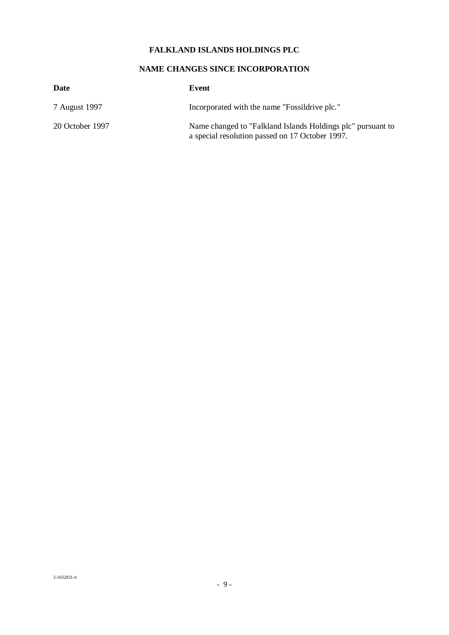# **FALKLAND ISLANDS HOLDINGS PLC**

# **NAME CHANGES SINCE INCORPORATION**

| Date            | Event                                                                                                          |
|-----------------|----------------------------------------------------------------------------------------------------------------|
| 7 August 1997   | Incorporated with the name "Fossildrive plc."                                                                  |
| 20 October 1997 | Name changed to "Falkland Islands Holdings plc" pursuant to<br>a special resolution passed on 17 October 1997. |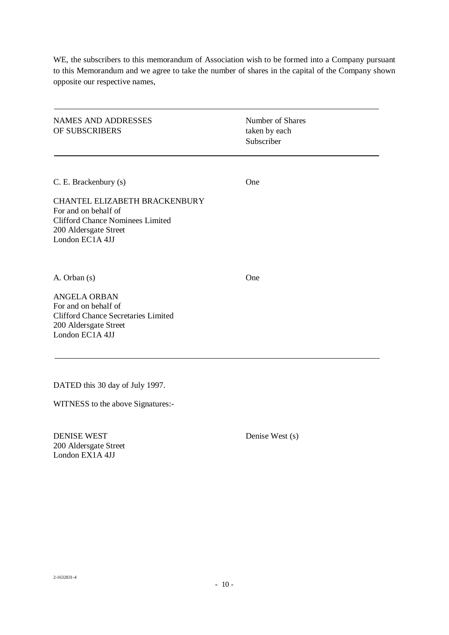WE, the subscribers to this memorandum of Association wish to be formed into a Company pursuant to this Memorandum and we agree to take the number of shares in the capital of the Company shown opposite our respective names,

NAMES AND ADDRESSES Number of Shares OF SUBSCRIBERS taken by each

Subscriber

C. E. Brackenbury (s) One

CHANTEL ELIZABETH BRACKENBURY For and on behalf of Clifford Chance Nominees Limited 200 Aldersgate Street London EC1A 4JJ

A. Orban (s) One

ANGELA ORBAN For and on behalf of Clifford Chance Secretaries Limited 200 Aldersgate Street London EC1A 4JJ

DATED this 30 day of July 1997.

WITNESS to the above Signatures:-

DENISE WEST Denise West (s) 200 Aldersgate Street London EX1A 4JJ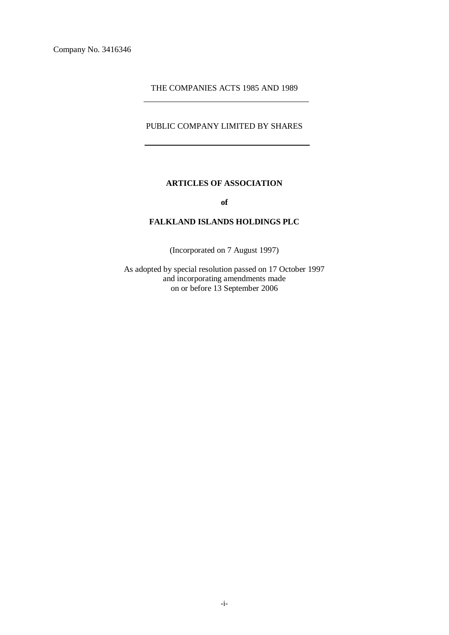#### THE COMPANIES ACTS 1985 AND 1989

## PUBLIC COMPANY LIMITED BY SHARES

## **ARTICLES OF ASSOCIATION**

**of** 

## **FALKLAND ISLANDS HOLDINGS PLC**

(Incorporated on 7 August 1997)

As adopted by special resolution passed on 17 October 1997 and incorporating amendments made on or before 13 September 2006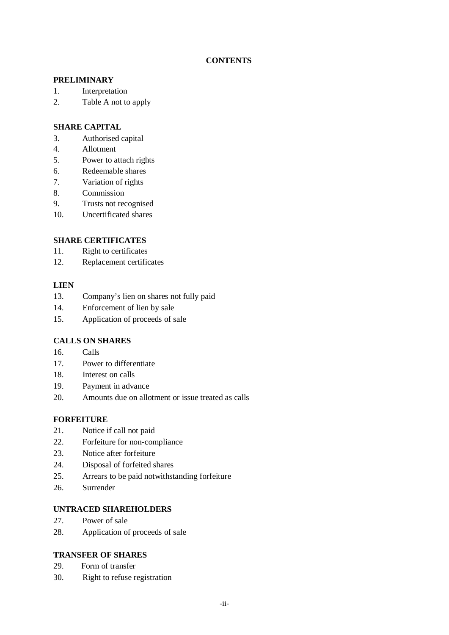## **CONTENTS**

## **PRELIMINARY**

- 1. Interpretation
- 2. Table A not to apply

## **SHARE CAPITAL**

- 3. Authorised capital
- 4. Allotment
- 5. Power to attach rights
- 6. Redeemable shares
- 7. Variation of rights
- 8. Commission
- 9. Trusts not recognised
- 10. Uncertificated shares

## **SHARE CERTIFICATES**

- 11. Right to certificates
- 12. Replacement certificates

#### **LIEN**

- 13. Company's lien on shares not fully paid
- 14. Enforcement of lien by sale
- 15. Application of proceeds of sale

## **CALLS ON SHARES**

- 16. Calls
- 17. Power to differentiate
- 18. Interest on calls
- 19. Payment in advance
- 20. Amounts due on allotment or issue treated as calls

#### **FORFEITURE**

- 21. Notice if call not paid
- 22. Forfeiture for non-compliance
- 23. Notice after forfeiture
- 24. Disposal of forfeited shares
- 25. Arrears to be paid notwithstanding forfeiture
- 26. Surrender

#### **UNTRACED SHAREHOLDERS**

- 27. Power of sale
- 28. Application of proceeds of sale

## **TRANSFER OF SHARES**

- 29. Form of transfer
- 30. Right to refuse registration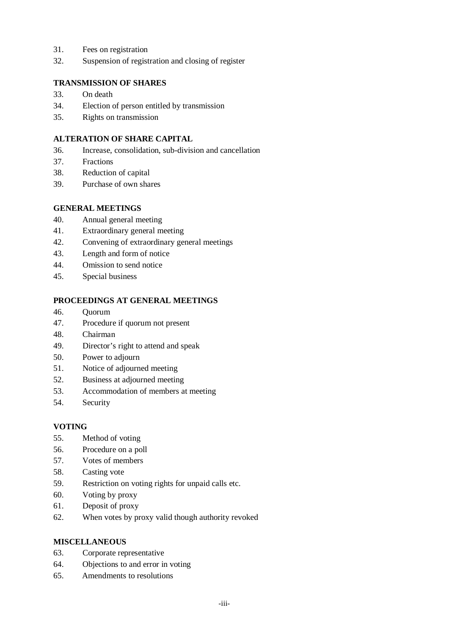- 31. Fees on registration
- 32. Suspension of registration and closing of register

## **TRANSMISSION OF SHARES**

- 33. On death
- 34. Election of person entitled by transmission
- 35. Rights on transmission

## **ALTERATION OF SHARE CAPITAL**

- 36. Increase, consolidation, sub-division and cancellation
- 37. Fractions
- 38. Reduction of capital
- 39. Purchase of own shares

## **GENERAL MEETINGS**

- 40. Annual general meeting
- 41. Extraordinary general meeting
- 42. Convening of extraordinary general meetings
- 43. Length and form of notice
- 44. Omission to send notice
- 45. Special business

## **PROCEEDINGS AT GENERAL MEETINGS**

- 46. Quorum
- 47. Procedure if quorum not present
- 48. Chairman
- 49. Director's right to attend and speak
- 50. Power to adjourn
- 51. Notice of adjourned meeting
- 52. Business at adjourned meeting
- 53. Accommodation of members at meeting
- 54. Security

## **VOTING**

- 55. Method of voting
- 56. Procedure on a poll
- 57. Votes of members
- 58. Casting vote
- 59. Restriction on voting rights for unpaid calls etc.
- 60. Voting by proxy
- 61. Deposit of proxy
- 62. When votes by proxy valid though authority revoked

## **MISCELLANEOUS**

- 63. Corporate representative
- 64. Objections to and error in voting
- 65. Amendments to resolutions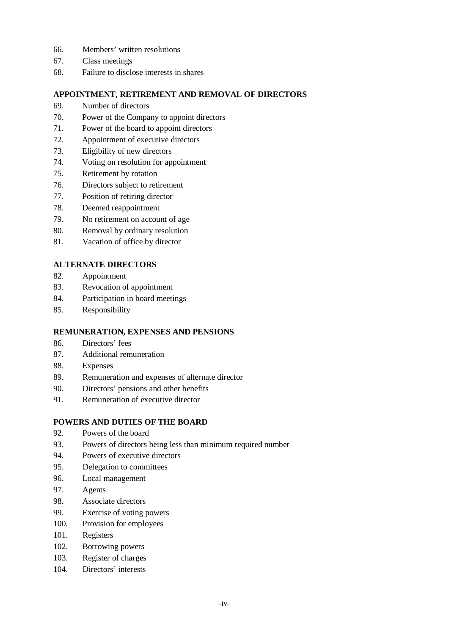- 66. Members' written resolutions
- 67. Class meetings
- 68. Failure to disclose interests in shares

## **APPOINTMENT, RETIREMENT AND REMOVAL OF DIRECTORS**

- 69. Number of directors
- 70. Power of the Company to appoint directors
- 71. Power of the board to appoint directors
- 72. Appointment of executive directors
- 73. Eligibility of new directors
- 74. Voting on resolution for appointment
- 75. Retirement by rotation
- 76. Directors subject to retirement
- 77. Position of retiring director
- 78. Deemed reappointment
- 79. No retirement on account of age
- 80. Removal by ordinary resolution
- 81. Vacation of office by director

## **ALTERNATE DIRECTORS**

- 82. Appointment
- 83. Revocation of appointment
- 84. Participation in board meetings
- 85. Responsibility

## **REMUNERATION, EXPENSES AND PENSIONS**

- 86. Directors' fees
- 87. Additional remuneration
- 88. Expenses
- 89. Remuneration and expenses of alternate director
- 90. Directors' pensions and other benefits
- 91. Remuneration of executive director

## **POWERS AND DUTIES OF THE BOARD**

- 92. Powers of the board
- 93. Powers of directors being less than minimum required number
- 94. Powers of executive directors
- 95. Delegation to committees
- 96. Local management
- 97. Agents
- 98. Associate directors
- 99. Exercise of voting powers
- 100. Provision for employees
- 101. Registers
- 102. Borrowing powers
- 103. Register of charges
- 104. Directors' interests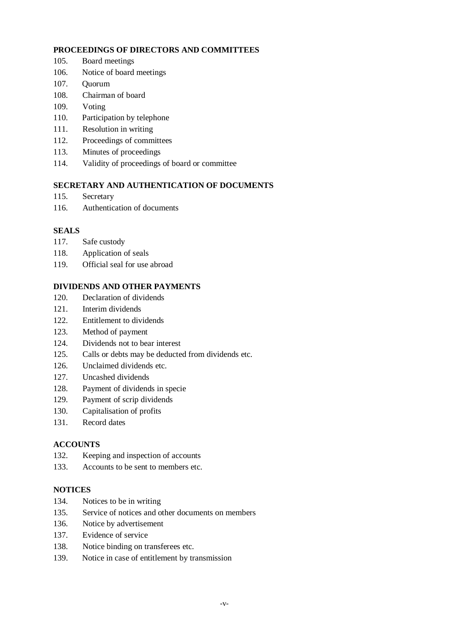#### **PROCEEDINGS OF DIRECTORS AND COMMITTEES**

- 105. Board meetings
- 106. Notice of board meetings
- 107. Quorum
- 108. Chairman of board
- 109. Voting
- 110. Participation by telephone
- 111. Resolution in writing
- 112. Proceedings of committees
- 113. Minutes of proceedings
- 114. Validity of proceedings of board or committee

## **SECRETARY AND AUTHENTICATION OF DOCUMENTS**

- 115. Secretary
- 116. Authentication of documents

# **SEALS**

- 117. Safe custody
- 118. Application of seals
- 119. Official seal for use abroad

# **DIVIDENDS AND OTHER PAYMENTS**

- 120. Declaration of dividends
- 121. Interim dividends
- 122. Entitlement to dividends
- 123. Method of payment
- 124. Dividends not to bear interest
- 125. Calls or debts may be deducted from dividends etc.
- 126. Unclaimed dividends etc.
- 127. Uncashed dividends
- 128. Payment of dividends in specie
- 129. Payment of scrip dividends
- 130. Capitalisation of profits
- 131. Record dates

# **ACCOUNTS**

- 132. Keeping and inspection of accounts
- 133. Accounts to be sent to members etc.

## **NOTICES**

- 134. Notices to be in writing
- 135. Service of notices and other documents on members
- 136. Notice by advertisement
- 137. Evidence of service
- 138. Notice binding on transferees etc.
- 139. Notice in case of entitlement by transmission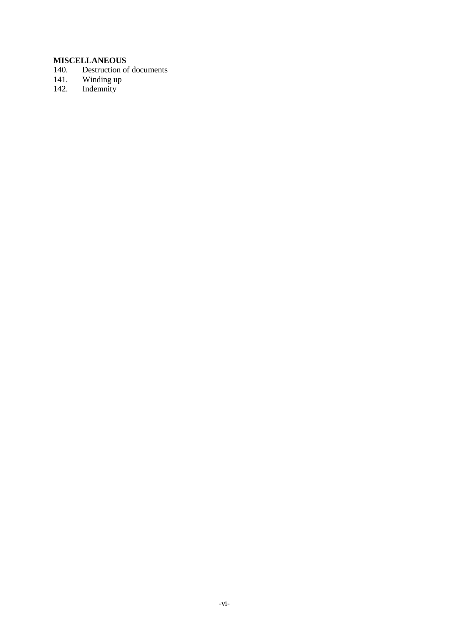# **MISCELLANEOUS**<br>140. Destruction of

- Destruction of documents
- 141. Winding up
- 142. Indemnity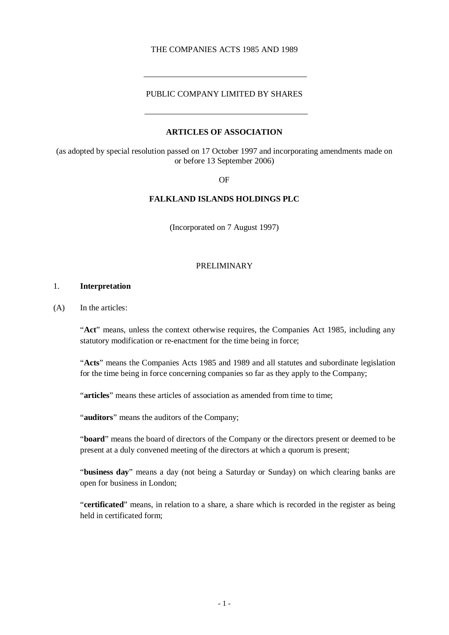#### THE COMPANIES ACTS 1985 AND 1989

#### PUBLIC COMPANY LIMITED BY SHARES

#### **ARTICLES OF ASSOCIATION**

(as adopted by special resolution passed on 17 October 1997 and incorporating amendments made on or before 13 September 2006)

OF

#### **FALKLAND ISLANDS HOLDINGS PLC**

(Incorporated on 7 August 1997)

#### PRELIMINARY

#### 1. **Interpretation**

(A) In the articles:

"**Act**" means, unless the context otherwise requires, the Companies Act 1985, including any statutory modification or re-enactment for the time being in force;

"**Acts**" means the Companies Acts 1985 and 1989 and all statutes and subordinate legislation for the time being in force concerning companies so far as they apply to the Company;

"**articles**" means these articles of association as amended from time to time;

"**auditors**" means the auditors of the Company;

"**board**" means the board of directors of the Company or the directors present or deemed to be present at a duly convened meeting of the directors at which a quorum is present;

"**business day**" means a day (not being a Saturday or Sunday) on which clearing banks are open for business in London;

"**certificated**" means, in relation to a share, a share which is recorded in the register as being held in certificated form;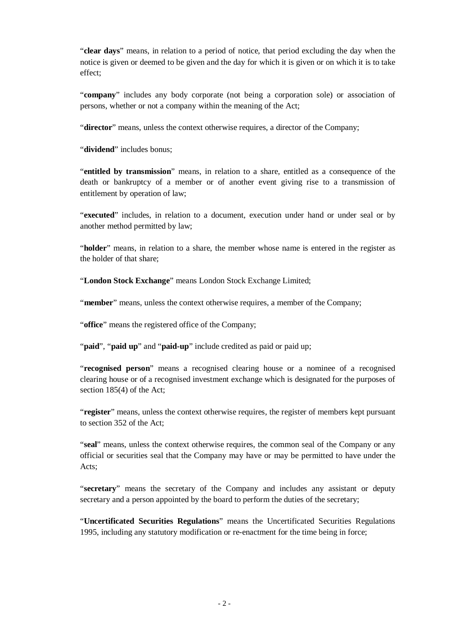"**clear days**" means, in relation to a period of notice, that period excluding the day when the notice is given or deemed to be given and the day for which it is given or on which it is to take effect;

"**company**" includes any body corporate (not being a corporation sole) or association of persons, whether or not a company within the meaning of the Act;

"**director**" means, unless the context otherwise requires, a director of the Company;

"dividend" includes bonus;

"**entitled by transmission**" means, in relation to a share, entitled as a consequence of the death or bankruptcy of a member or of another event giving rise to a transmission of entitlement by operation of law;

"**executed**" includes, in relation to a document, execution under hand or under seal or by another method permitted by law;

"**holder**" means, in relation to a share, the member whose name is entered in the register as the holder of that share;

"**London Stock Exchange**" means London Stock Exchange Limited;

"**member**" means, unless the context otherwise requires, a member of the Company;

"**office**" means the registered office of the Company;

"**paid**", "**paid up**" and "**paid-up**" include credited as paid or paid up;

"**recognised person**" means a recognised clearing house or a nominee of a recognised clearing house or of a recognised investment exchange which is designated for the purposes of section 185(4) of the Act;

"**register**" means, unless the context otherwise requires, the register of members kept pursuant to section 352 of the Act;

"**seal**" means, unless the context otherwise requires, the common seal of the Company or any official or securities seal that the Company may have or may be permitted to have under the Acts;

"**secretary**" means the secretary of the Company and includes any assistant or deputy secretary and a person appointed by the board to perform the duties of the secretary;

"**Uncertificated Securities Regulations**" means the Uncertificated Securities Regulations 1995, including any statutory modification or re-enactment for the time being in force;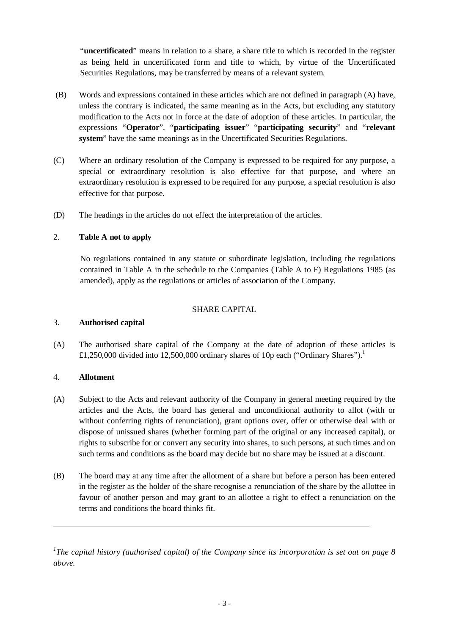"**uncertificated**" means in relation to a share, a share title to which is recorded in the register as being held in uncertificated form and title to which, by virtue of the Uncertificated Securities Regulations, may be transferred by means of a relevant system.

- (B) Words and expressions contained in these articles which are not defined in paragraph (A) have, unless the contrary is indicated, the same meaning as in the Acts, but excluding any statutory modification to the Acts not in force at the date of adoption of these articles. In particular, the expressions "**Operator**", "**participating issuer**" "**participating security**" and "**relevant system**" have the same meanings as in the Uncertificated Securities Regulations.
- (C) Where an ordinary resolution of the Company is expressed to be required for any purpose, a special or extraordinary resolution is also effective for that purpose, and where an extraordinary resolution is expressed to be required for any purpose, a special resolution is also effective for that purpose.
- (D) The headings in the articles do not effect the interpretation of the articles.

## 2. **Table A not to apply**

No regulations contained in any statute or subordinate legislation, including the regulations contained in Table A in the schedule to the Companies (Table A to F) Regulations 1985 (as amended), apply as the regulations or articles of association of the Company.

## SHARE CAPITAL

#### 3. **Authorised capital**

(A) The authorised share capital of the Company at the date of adoption of these articles is £1,250,000 divided into 12,500,000 ordinary shares of 10p each ("Ordinary Shares").<sup>1</sup>

## 4. **Allotment**

- (A) Subject to the Acts and relevant authority of the Company in general meeting required by the articles and the Acts, the board has general and unconditional authority to allot (with or without conferring rights of renunciation), grant options over, offer or otherwise deal with or dispose of unissued shares (whether forming part of the original or any increased capital), or rights to subscribe for or convert any security into shares, to such persons, at such times and on such terms and conditions as the board may decide but no share may be issued at a discount.
- (B) The board may at any time after the allotment of a share but before a person has been entered in the register as the holder of the share recognise a renunciation of the share by the allottee in favour of another person and may grant to an allottee a right to effect a renunciation on the terms and conditions the board thinks fit.

*1 The capital history (authorised capital) of the Company since its incorporation is set out on page 8 above.*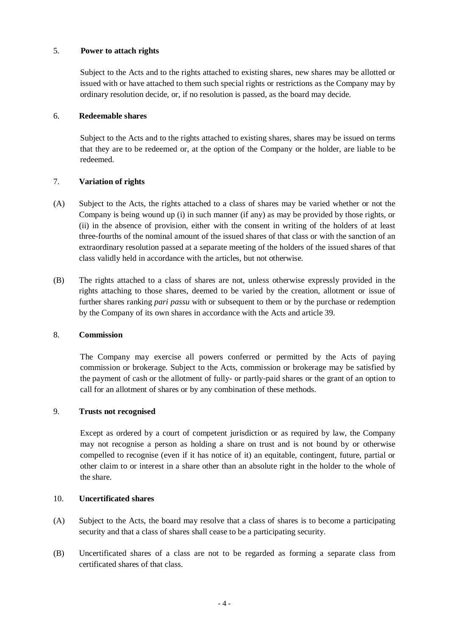#### 5. **Power to attach rights**

Subject to the Acts and to the rights attached to existing shares, new shares may be allotted or issued with or have attached to them such special rights or restrictions as the Company may by ordinary resolution decide, or, if no resolution is passed, as the board may decide.

## 6. **Redeemable shares**

Subject to the Acts and to the rights attached to existing shares, shares may be issued on terms that they are to be redeemed or, at the option of the Company or the holder, are liable to be redeemed.

## 7. **Variation of rights**

- (A) Subject to the Acts, the rights attached to a class of shares may be varied whether or not the Company is being wound up (i) in such manner (if any) as may be provided by those rights, or (ii) in the absence of provision, either with the consent in writing of the holders of at least three-fourths of the nominal amount of the issued shares of that class or with the sanction of an extraordinary resolution passed at a separate meeting of the holders of the issued shares of that class validly held in accordance with the articles, but not otherwise.
- (B) The rights attached to a class of shares are not, unless otherwise expressly provided in the rights attaching to those shares, deemed to be varied by the creation, allotment or issue of further shares ranking *pari passu* with or subsequent to them or by the purchase or redemption by the Company of its own shares in accordance with the Acts and article 39.

## 8. **Commission**

The Company may exercise all powers conferred or permitted by the Acts of paying commission or brokerage. Subject to the Acts, commission or brokerage may be satisfied by the payment of cash or the allotment of fully- or partly-paid shares or the grant of an option to call for an allotment of shares or by any combination of these methods.

## 9. **Trusts not recognised**

Except as ordered by a court of competent jurisdiction or as required by law, the Company may not recognise a person as holding a share on trust and is not bound by or otherwise compelled to recognise (even if it has notice of it) an equitable, contingent, future, partial or other claim to or interest in a share other than an absolute right in the holder to the whole of the share.

#### 10. **Uncertificated shares**

- (A) Subject to the Acts, the board may resolve that a class of shares is to become a participating security and that a class of shares shall cease to be a participating security.
- (B) Uncertificated shares of a class are not to be regarded as forming a separate class from certificated shares of that class.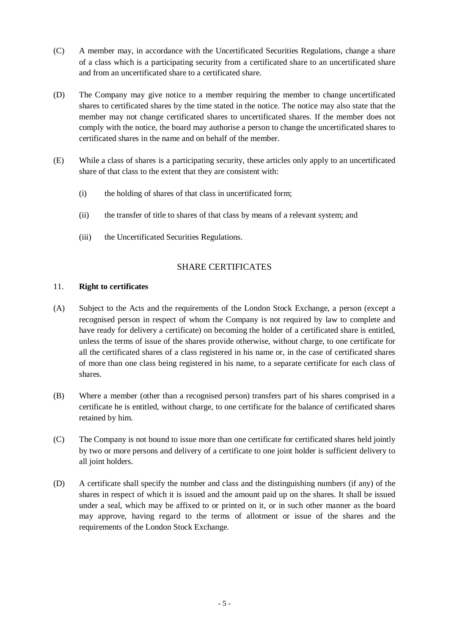- (C) A member may, in accordance with the Uncertificated Securities Regulations, change a share of a class which is a participating security from a certificated share to an uncertificated share and from an uncertificated share to a certificated share.
- (D) The Company may give notice to a member requiring the member to change uncertificated shares to certificated shares by the time stated in the notice. The notice may also state that the member may not change certificated shares to uncertificated shares. If the member does not comply with the notice, the board may authorise a person to change the uncertificated shares to certificated shares in the name and on behalf of the member.
- (E) While a class of shares is a participating security, these articles only apply to an uncertificated share of that class to the extent that they are consistent with:
	- (i) the holding of shares of that class in uncertificated form;
	- (ii) the transfer of title to shares of that class by means of a relevant system; and
	- (iii) the Uncertificated Securities Regulations.

## SHARE CERTIFICATES

#### 11. **Right to certificates**

- (A) Subject to the Acts and the requirements of the London Stock Exchange, a person (except a recognised person in respect of whom the Company is not required by law to complete and have ready for delivery a certificate) on becoming the holder of a certificated share is entitled, unless the terms of issue of the shares provide otherwise, without charge, to one certificate for all the certificated shares of a class registered in his name or, in the case of certificated shares of more than one class being registered in his name, to a separate certificate for each class of shares.
- (B) Where a member (other than a recognised person) transfers part of his shares comprised in a certificate he is entitled, without charge, to one certificate for the balance of certificated shares retained by him.
- (C) The Company is not bound to issue more than one certificate for certificated shares held jointly by two or more persons and delivery of a certificate to one joint holder is sufficient delivery to all joint holders.
- (D) A certificate shall specify the number and class and the distinguishing numbers (if any) of the shares in respect of which it is issued and the amount paid up on the shares. It shall be issued under a seal, which may be affixed to or printed on it, or in such other manner as the board may approve, having regard to the terms of allotment or issue of the shares and the requirements of the London Stock Exchange.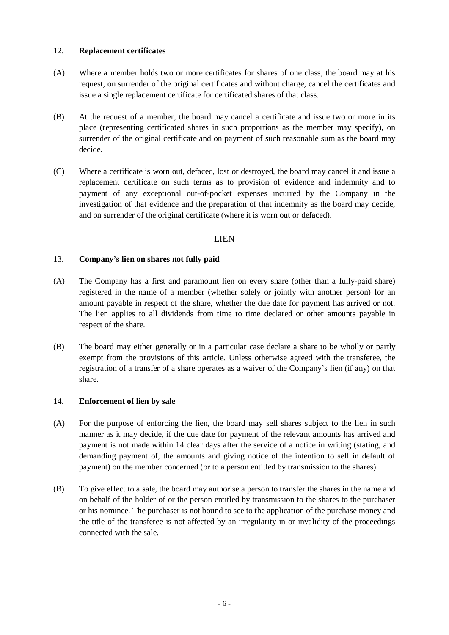#### 12. **Replacement certificates**

- (A) Where a member holds two or more certificates for shares of one class, the board may at his request, on surrender of the original certificates and without charge, cancel the certificates and issue a single replacement certificate for certificated shares of that class.
- (B) At the request of a member, the board may cancel a certificate and issue two or more in its place (representing certificated shares in such proportions as the member may specify), on surrender of the original certificate and on payment of such reasonable sum as the board may decide.
- (C) Where a certificate is worn out, defaced, lost or destroyed, the board may cancel it and issue a replacement certificate on such terms as to provision of evidence and indemnity and to payment of any exceptional out-of-pocket expenses incurred by the Company in the investigation of that evidence and the preparation of that indemnity as the board may decide, and on surrender of the original certificate (where it is worn out or defaced).

## LIEN

## 13. **Company's lien on shares not fully paid**

- (A) The Company has a first and paramount lien on every share (other than a fully-paid share) registered in the name of a member (whether solely or jointly with another person) for an amount payable in respect of the share, whether the due date for payment has arrived or not. The lien applies to all dividends from time to time declared or other amounts payable in respect of the share.
- (B) The board may either generally or in a particular case declare a share to be wholly or partly exempt from the provisions of this article. Unless otherwise agreed with the transferee, the registration of a transfer of a share operates as a waiver of the Company's lien (if any) on that share.

#### 14. **Enforcement of lien by sale**

- (A) For the purpose of enforcing the lien, the board may sell shares subject to the lien in such manner as it may decide, if the due date for payment of the relevant amounts has arrived and payment is not made within 14 clear days after the service of a notice in writing (stating, and demanding payment of, the amounts and giving notice of the intention to sell in default of payment) on the member concerned (or to a person entitled by transmission to the shares).
- (B) To give effect to a sale, the board may authorise a person to transfer the shares in the name and on behalf of the holder of or the person entitled by transmission to the shares to the purchaser or his nominee. The purchaser is not bound to see to the application of the purchase money and the title of the transferee is not affected by an irregularity in or invalidity of the proceedings connected with the sale.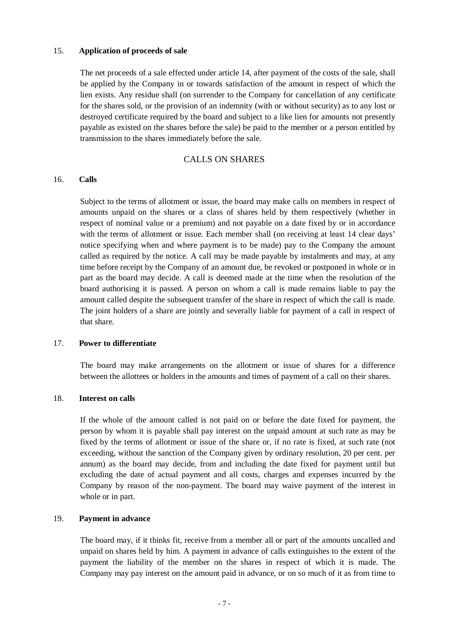#### 15. **Application of proceeds of sale**

The net proceeds of a sale effected under article 14, after payment of the costs of the sale, shall be applied by the Company in or towards satisfaction of the amount in respect of which the lien exists. Any residue shall (on surrender to the Company for cancellation of any certificate for the shares sold, or the provision of an indemnity (with or without security) as to any lost or destroyed certificate required by the board and subject to a like lien for amounts not presently payable as existed on the shares before the sale) be paid to the member or a person entitled by transmission to the shares immediately before the sale.

#### CALLS ON SHARES

#### 16. **Calls**

Subject to the terms of allotment or issue, the board may make calls on members in respect of amounts unpaid on the shares or a class of shares held by them respectively (whether in respect of nominal value or a premium) and not payable on a date fixed by or in accordance with the terms of allotment or issue. Each member shall (on receiving at least 14 clear days' notice specifying when and where payment is to be made) pay to the Company the amount called as required by the notice. A call may be made payable by instalments and may, at any time before receipt by the Company of an amount due, be revoked or postponed in whole or in part as the board may decide. A call is deemed made at the time when the resolution of the board authorising it is passed. A person on whom a call is made remains liable to pay the amount called despite the subsequent transfer of the share in respect of which the call is made. The joint holders of a share are jointly and severally liable for payment of a call in respect of that share.

#### 17. **Power to differentiate**

The board may make arrangements on the allotment or issue of shares for a difference between the allottees or holders in the amounts and times of payment of a call on their shares.

#### 18. **Interest on calls**

If the whole of the amount called is not paid on or before the date fixed for payment, the person by whom it is payable shall pay interest on the unpaid amount at such rate as may be fixed by the terms of allotment or issue of the share or, if no rate is fixed, at such rate (not exceeding, without the sanction of the Company given by ordinary resolution, 20 per cent. per annum) as the board may decide, from and including the date fixed for payment until but excluding the date of actual payment and all costs, charges and expenses incurred by the Company by reason of the non-payment. The board may waive payment of the interest in whole or in part.

#### 19. **Payment in advance**

The board may, if it thinks fit, receive from a member all or part of the amounts uncalled and unpaid on shares held by him. A payment in advance of calls extinguishes to the extent of the payment the liability of the member on the shares in respect of which it is made. The Company may pay interest on the amount paid in advance, or on so much of it as from time to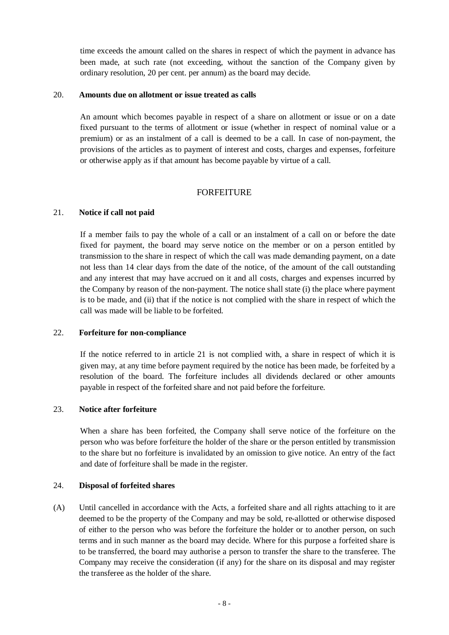time exceeds the amount called on the shares in respect of which the payment in advance has been made, at such rate (not exceeding, without the sanction of the Company given by ordinary resolution, 20 per cent. per annum) as the board may decide.

#### 20. **Amounts due on allotment or issue treated as calls**

An amount which becomes payable in respect of a share on allotment or issue or on a date fixed pursuant to the terms of allotment or issue (whether in respect of nominal value or a premium) or as an instalment of a call is deemed to be a call. In case of non-payment, the provisions of the articles as to payment of interest and costs, charges and expenses, forfeiture or otherwise apply as if that amount has become payable by virtue of a call.

## FORFEITURE

#### 21. **Notice if call not paid**

If a member fails to pay the whole of a call or an instalment of a call on or before the date fixed for payment, the board may serve notice on the member or on a person entitled by transmission to the share in respect of which the call was made demanding payment, on a date not less than 14 clear days from the date of the notice, of the amount of the call outstanding and any interest that may have accrued on it and all costs, charges and expenses incurred by the Company by reason of the non-payment. The notice shall state (i) the place where payment is to be made, and (ii) that if the notice is not complied with the share in respect of which the call was made will be liable to be forfeited.

#### 22. **Forfeiture for non-compliance**

If the notice referred to in article 21 is not complied with, a share in respect of which it is given may, at any time before payment required by the notice has been made, be forfeited by a resolution of the board. The forfeiture includes all dividends declared or other amounts payable in respect of the forfeited share and not paid before the forfeiture.

## 23. **Notice after forfeiture**

When a share has been forfeited, the Company shall serve notice of the forfeiture on the person who was before forfeiture the holder of the share or the person entitled by transmission to the share but no forfeiture is invalidated by an omission to give notice. An entry of the fact and date of forfeiture shall be made in the register.

## 24. **Disposal of forfeited shares**

(A) Until cancelled in accordance with the Acts, a forfeited share and all rights attaching to it are deemed to be the property of the Company and may be sold, re-allotted or otherwise disposed of either to the person who was before the forfeiture the holder or to another person, on such terms and in such manner as the board may decide. Where for this purpose a forfeited share is to be transferred, the board may authorise a person to transfer the share to the transferee. The Company may receive the consideration (if any) for the share on its disposal and may register the transferee as the holder of the share.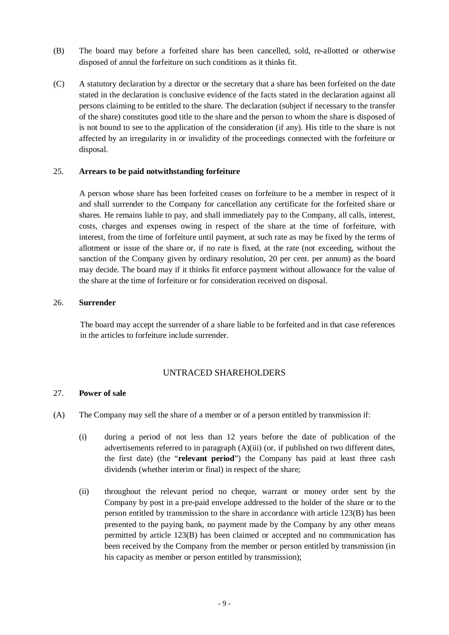- (B) The board may before a forfeited share has been cancelled, sold, re-allotted or otherwise disposed of annul the forfeiture on such conditions as it thinks fit.
- (C) A statutory declaration by a director or the secretary that a share has been forfeited on the date stated in the declaration is conclusive evidence of the facts stated in the declaration against all persons claiming to be entitled to the share. The declaration (subject if necessary to the transfer of the share) constitutes good title to the share and the person to whom the share is disposed of is not bound to see to the application of the consideration (if any). His title to the share is not affected by an irregularity in or invalidity of the proceedings connected with the forfeiture or disposal.

#### 25. **Arrears to be paid notwithstanding forfeiture**

A person whose share has been forfeited ceases on forfeiture to be a member in respect of it and shall surrender to the Company for cancellation any certificate for the forfeited share or shares. He remains liable to pay, and shall immediately pay to the Company, all calls, interest, costs, charges and expenses owing in respect of the share at the time of forfeiture, with interest, from the time of forfeiture until payment, at such rate as may be fixed by the terms of allotment or issue of the share or, if no rate is fixed, at the rate (not exceeding, without the sanction of the Company given by ordinary resolution, 20 per cent. per annum) as the board may decide. The board may if it thinks fit enforce payment without allowance for the value of the share at the time of forfeiture or for consideration received on disposal.

#### 26. **Surrender**

The board may accept the surrender of a share liable to be forfeited and in that case references in the articles to forfeiture include surrender.

## UNTRACED SHAREHOLDERS

#### 27. **Power of sale**

- (A) The Company may sell the share of a member or of a person entitled by transmission if:
	- (i) during a period of not less than 12 years before the date of publication of the advertisements referred to in paragraph (A)(iii) (or, if published on two different dates, the first date) (the "**relevant period**") the Company has paid at least three cash dividends (whether interim or final) in respect of the share;
	- (ii) throughout the relevant period no cheque, warrant or money order sent by the Company by post in a pre-paid envelope addressed to the holder of the share or to the person entitled by transmission to the share in accordance with article 123(B) has been presented to the paying bank, no payment made by the Company by any other means permitted by article 123(B) has been claimed or accepted and no communication has been received by the Company from the member or person entitled by transmission (in his capacity as member or person entitled by transmission);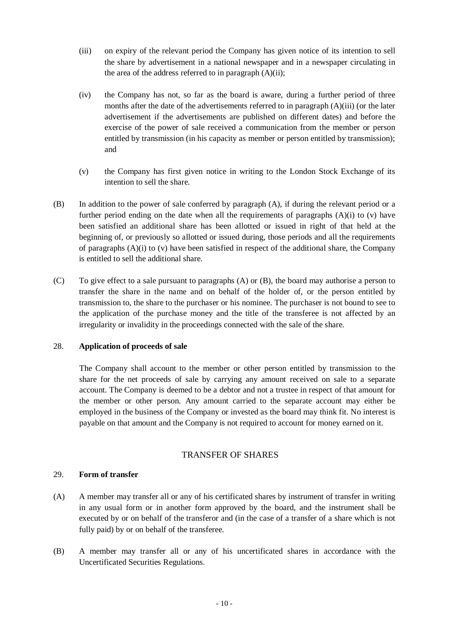- (iii) on expiry of the relevant period the Company has given notice of its intention to sell the share by advertisement in a national newspaper and in a newspaper circulating in the area of the address referred to in paragraph  $(A)(ii)$ ;
- (iv) the Company has not, so far as the board is aware, during a further period of three months after the date of the advertisements referred to in paragraph (A)(iii) (or the later advertisement if the advertisements are published on different dates) and before the exercise of the power of sale received a communication from the member or person entitled by transmission (in his capacity as member or person entitled by transmission); and
- (v) the Company has first given notice in writing to the London Stock Exchange of its intention to sell the share.
- (B) In addition to the power of sale conferred by paragraph (A), if during the relevant period or a further period ending on the date when all the requirements of paragraphs  $(A)(i)$  to  $(v)$  have been satisfied an additional share has been allotted or issued in right of that held at the beginning of, or previously so allotted or issued during, those periods and all the requirements of paragraphs  $(A)(i)$  to  $(v)$  have been satisfied in respect of the additional share, the Company is entitled to sell the additional share.
- (C) To give effect to a sale pursuant to paragraphs (A) or (B), the board may authorise a person to transfer the share in the name and on behalf of the holder of, or the person entitled by transmission to, the share to the purchaser or his nominee. The purchaser is not bound to see to the application of the purchase money and the title of the transferee is not affected by an irregularity or invalidity in the proceedings connected with the sale of the share.

#### 28. **Application of proceeds of sale**

The Company shall account to the member or other person entitled by transmission to the share for the net proceeds of sale by carrying any amount received on sale to a separate account. The Company is deemed to be a debtor and not a trustee in respect of that amount for the member or other person. Any amount carried to the separate account may either be employed in the business of the Company or invested as the board may think fit. No interest is payable on that amount and the Company is not required to account for money earned on it.

## TRANSFER OF SHARES

#### 29. **Form of transfer**

- (A) A member may transfer all or any of his certificated shares by instrument of transfer in writing in any usual form or in another form approved by the board, and the instrument shall be executed by or on behalf of the transferor and (in the case of a transfer of a share which is not fully paid) by or on behalf of the transferee.
- (B) A member may transfer all or any of his uncertificated shares in accordance with the Uncertificated Securities Regulations.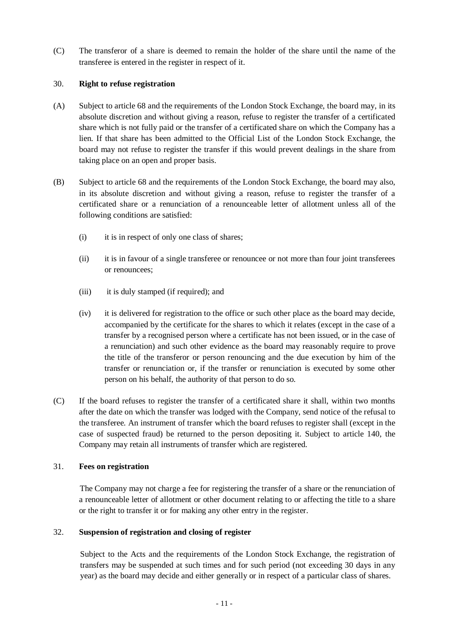(C) The transferor of a share is deemed to remain the holder of the share until the name of the transferee is entered in the register in respect of it.

## 30. **Right to refuse registration**

- (A) Subject to article 68 and the requirements of the London Stock Exchange, the board may, in its absolute discretion and without giving a reason, refuse to register the transfer of a certificated share which is not fully paid or the transfer of a certificated share on which the Company has a lien. If that share has been admitted to the Official List of the London Stock Exchange, the board may not refuse to register the transfer if this would prevent dealings in the share from taking place on an open and proper basis.
- (B) Subject to article 68 and the requirements of the London Stock Exchange, the board may also, in its absolute discretion and without giving a reason, refuse to register the transfer of a certificated share or a renunciation of a renounceable letter of allotment unless all of the following conditions are satisfied:
	- (i) it is in respect of only one class of shares;
	- (ii) it is in favour of a single transferee or renouncee or not more than four joint transferees or renouncees;
	- (iii) it is duly stamped (if required); and
	- (iv) it is delivered for registration to the office or such other place as the board may decide, accompanied by the certificate for the shares to which it relates (except in the case of a transfer by a recognised person where a certificate has not been issued, or in the case of a renunciation) and such other evidence as the board may reasonably require to prove the title of the transferor or person renouncing and the due execution by him of the transfer or renunciation or, if the transfer or renunciation is executed by some other person on his behalf, the authority of that person to do so.
- (C) If the board refuses to register the transfer of a certificated share it shall, within two months after the date on which the transfer was lodged with the Company, send notice of the refusal to the transferee. An instrument of transfer which the board refuses to register shall (except in the case of suspected fraud) be returned to the person depositing it. Subject to article 140, the Company may retain all instruments of transfer which are registered.

#### 31. **Fees on registration**

The Company may not charge a fee for registering the transfer of a share or the renunciation of a renounceable letter of allotment or other document relating to or affecting the title to a share or the right to transfer it or for making any other entry in the register.

## 32. **Suspension of registration and closing of register**

Subject to the Acts and the requirements of the London Stock Exchange, the registration of transfers may be suspended at such times and for such period (not exceeding 30 days in any year) as the board may decide and either generally or in respect of a particular class of shares.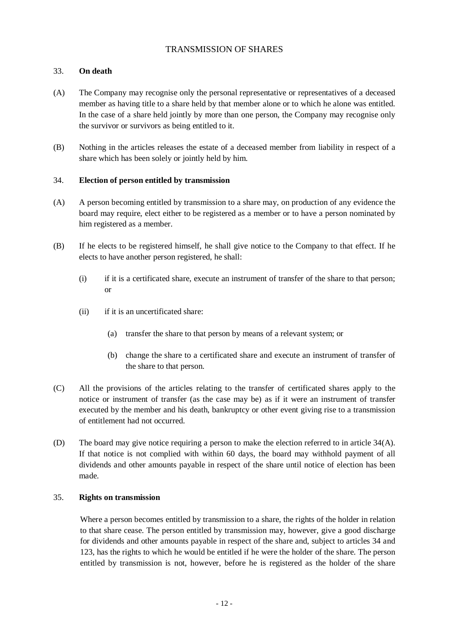## TRANSMISSION OF SHARES

## 33. **On death**

- (A) The Company may recognise only the personal representative or representatives of a deceased member as having title to a share held by that member alone or to which he alone was entitled. In the case of a share held jointly by more than one person, the Company may recognise only the survivor or survivors as being entitled to it.
- (B) Nothing in the articles releases the estate of a deceased member from liability in respect of a share which has been solely or jointly held by him.

#### 34. **Election of person entitled by transmission**

- (A) A person becoming entitled by transmission to a share may, on production of any evidence the board may require, elect either to be registered as a member or to have a person nominated by him registered as a member.
- (B) If he elects to be registered himself, he shall give notice to the Company to that effect. If he elects to have another person registered, he shall:
	- (i) if it is a certificated share, execute an instrument of transfer of the share to that person; or
	- (ii) if it is an uncertificated share:
		- (a) transfer the share to that person by means of a relevant system; or
		- (b) change the share to a certificated share and execute an instrument of transfer of the share to that person.
- (C) All the provisions of the articles relating to the transfer of certificated shares apply to the notice or instrument of transfer (as the case may be) as if it were an instrument of transfer executed by the member and his death, bankruptcy or other event giving rise to a transmission of entitlement had not occurred.
- (D) The board may give notice requiring a person to make the election referred to in article 34(A). If that notice is not complied with within 60 days, the board may withhold payment of all dividends and other amounts payable in respect of the share until notice of election has been made.

## 35. **Rights on transmission**

Where a person becomes entitled by transmission to a share, the rights of the holder in relation to that share cease. The person entitled by transmission may, however, give a good discharge for dividends and other amounts payable in respect of the share and, subject to articles 34 and 123, has the rights to which he would be entitled if he were the holder of the share. The person entitled by transmission is not, however, before he is registered as the holder of the share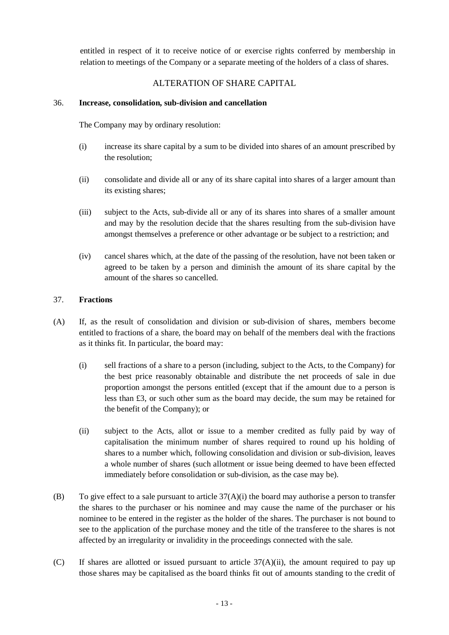entitled in respect of it to receive notice of or exercise rights conferred by membership in relation to meetings of the Company or a separate meeting of the holders of a class of shares.

# ALTERATION OF SHARE CAPITAL

## 36. **Increase, consolidation, sub-division and cancellation**

The Company may by ordinary resolution:

- (i) increase its share capital by a sum to be divided into shares of an amount prescribed by the resolution;
- (ii) consolidate and divide all or any of its share capital into shares of a larger amount than its existing shares;
- (iii) subject to the Acts, sub-divide all or any of its shares into shares of a smaller amount and may by the resolution decide that the shares resulting from the sub-division have amongst themselves a preference or other advantage or be subject to a restriction; and
- (iv) cancel shares which, at the date of the passing of the resolution, have not been taken or agreed to be taken by a person and diminish the amount of its share capital by the amount of the shares so cancelled.

## 37. **Fractions**

- (A) If, as the result of consolidation and division or sub-division of shares, members become entitled to fractions of a share, the board may on behalf of the members deal with the fractions as it thinks fit. In particular, the board may:
	- (i) sell fractions of a share to a person (including, subject to the Acts, to the Company) for the best price reasonably obtainable and distribute the net proceeds of sale in due proportion amongst the persons entitled (except that if the amount due to a person is less than £3, or such other sum as the board may decide, the sum may be retained for the benefit of the Company); or
	- (ii) subject to the Acts, allot or issue to a member credited as fully paid by way of capitalisation the minimum number of shares required to round up his holding of shares to a number which, following consolidation and division or sub-division, leaves a whole number of shares (such allotment or issue being deemed to have been effected immediately before consolidation or sub-division, as the case may be).
- (B) To give effect to a sale pursuant to article  $37(A)(i)$  the board may authorise a person to transfer the shares to the purchaser or his nominee and may cause the name of the purchaser or his nominee to be entered in the register as the holder of the shares. The purchaser is not bound to see to the application of the purchase money and the title of the transferee to the shares is not affected by an irregularity or invalidity in the proceedings connected with the sale.
- (C) If shares are allotted or issued pursuant to article  $37(A)(ii)$ , the amount required to pay up those shares may be capitalised as the board thinks fit out of amounts standing to the credit of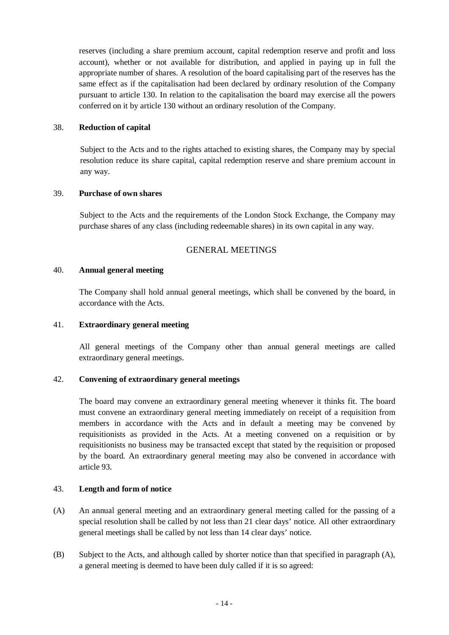reserves (including a share premium account, capital redemption reserve and profit and loss account), whether or not available for distribution, and applied in paying up in full the appropriate number of shares. A resolution of the board capitalising part of the reserves has the same effect as if the capitalisation had been declared by ordinary resolution of the Company pursuant to article 130. In relation to the capitalisation the board may exercise all the powers conferred on it by article 130 without an ordinary resolution of the Company.

#### 38. **Reduction of capital**

Subject to the Acts and to the rights attached to existing shares, the Company may by special resolution reduce its share capital, capital redemption reserve and share premium account in any way.

#### 39. **Purchase of own shares**

Subject to the Acts and the requirements of the London Stock Exchange, the Company may purchase shares of any class (including redeemable shares) in its own capital in any way.

## GENERAL MEETINGS

#### 40. **Annual general meeting**

The Company shall hold annual general meetings, which shall be convened by the board, in accordance with the Acts.

#### 41. **Extraordinary general meeting**

All general meetings of the Company other than annual general meetings are called extraordinary general meetings.

#### 42. **Convening of extraordinary general meetings**

The board may convene an extraordinary general meeting whenever it thinks fit. The board must convene an extraordinary general meeting immediately on receipt of a requisition from members in accordance with the Acts and in default a meeting may be convened by requisitionists as provided in the Acts. At a meeting convened on a requisition or by requisitionists no business may be transacted except that stated by the requisition or proposed by the board. An extraordinary general meeting may also be convened in accordance with article 93.

## 43. **Length and form of notice**

- (A) An annual general meeting and an extraordinary general meeting called for the passing of a special resolution shall be called by not less than 21 clear days' notice. All other extraordinary general meetings shall be called by not less than 14 clear days' notice.
- (B) Subject to the Acts, and although called by shorter notice than that specified in paragraph (A), a general meeting is deemed to have been duly called if it is so agreed: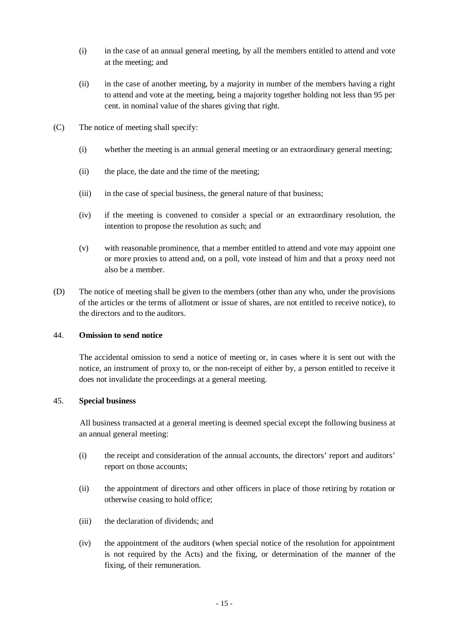- (i) in the case of an annual general meeting, by all the members entitled to attend and vote at the meeting; and
- (ii) in the case of another meeting, by a majority in number of the members having a right to attend and vote at the meeting, being a majority together holding not less than 95 per cent. in nominal value of the shares giving that right.
- (C) The notice of meeting shall specify:
	- (i) whether the meeting is an annual general meeting or an extraordinary general meeting;
	- (ii) the place, the date and the time of the meeting;
	- (iii) in the case of special business, the general nature of that business;
	- (iv) if the meeting is convened to consider a special or an extraordinary resolution, the intention to propose the resolution as such; and
	- (v) with reasonable prominence, that a member entitled to attend and vote may appoint one or more proxies to attend and, on a poll, vote instead of him and that a proxy need not also be a member.
- (D) The notice of meeting shall be given to the members (other than any who, under the provisions of the articles or the terms of allotment or issue of shares, are not entitled to receive notice), to the directors and to the auditors.

#### 44. **Omission to send notice**

The accidental omission to send a notice of meeting or, in cases where it is sent out with the notice, an instrument of proxy to, or the non-receipt of either by, a person entitled to receive it does not invalidate the proceedings at a general meeting.

#### 45. **Special business**

All business transacted at a general meeting is deemed special except the following business at an annual general meeting:

- (i) the receipt and consideration of the annual accounts, the directors' report and auditors' report on those accounts;
- (ii) the appointment of directors and other officers in place of those retiring by rotation or otherwise ceasing to hold office;
- (iii) the declaration of dividends; and
- (iv) the appointment of the auditors (when special notice of the resolution for appointment is not required by the Acts) and the fixing, or determination of the manner of the fixing, of their remuneration.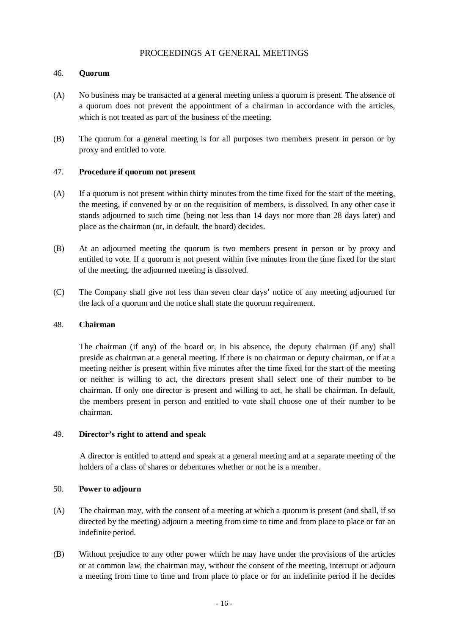## PROCEEDINGS AT GENERAL MEETINGS

#### 46. **Quorum**

- (A) No business may be transacted at a general meeting unless a quorum is present. The absence of a quorum does not prevent the appointment of a chairman in accordance with the articles, which is not treated as part of the business of the meeting.
- (B) The quorum for a general meeting is for all purposes two members present in person or by proxy and entitled to vote.

#### 47. **Procedure if quorum not present**

- (A) If a quorum is not present within thirty minutes from the time fixed for the start of the meeting, the meeting, if convened by or on the requisition of members, is dissolved. In any other case it stands adjourned to such time (being not less than 14 days nor more than 28 days later) and place as the chairman (or, in default, the board) decides.
- (B) At an adjourned meeting the quorum is two members present in person or by proxy and entitled to vote. If a quorum is not present within five minutes from the time fixed for the start of the meeting, the adjourned meeting is dissolved.
- (C) The Company shall give not less than seven clear days' notice of any meeting adjourned for the lack of a quorum and the notice shall state the quorum requirement.

#### 48. **Chairman**

The chairman (if any) of the board or, in his absence, the deputy chairman (if any) shall preside as chairman at a general meeting. If there is no chairman or deputy chairman, or if at a meeting neither is present within five minutes after the time fixed for the start of the meeting or neither is willing to act, the directors present shall select one of their number to be chairman. If only one director is present and willing to act, he shall be chairman. In default, the members present in person and entitled to vote shall choose one of their number to be chairman.

#### 49. **Director's right to attend and speak**

A director is entitled to attend and speak at a general meeting and at a separate meeting of the holders of a class of shares or debentures whether or not he is a member.

#### 50. **Power to adjourn**

- (A) The chairman may, with the consent of a meeting at which a quorum is present (and shall, if so directed by the meeting) adjourn a meeting from time to time and from place to place or for an indefinite period.
- (B) Without prejudice to any other power which he may have under the provisions of the articles or at common law, the chairman may, without the consent of the meeting, interrupt or adjourn a meeting from time to time and from place to place or for an indefinite period if he decides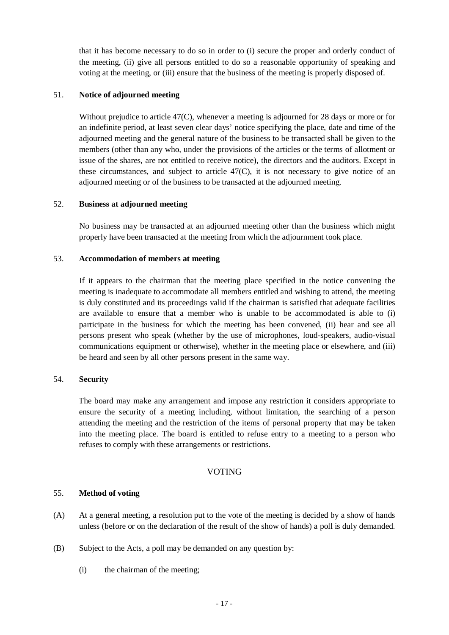that it has become necessary to do so in order to (i) secure the proper and orderly conduct of the meeting, (ii) give all persons entitled to do so a reasonable opportunity of speaking and voting at the meeting, or (iii) ensure that the business of the meeting is properly disposed of.

#### 51. **Notice of adjourned meeting**

Without prejudice to article 47(C), whenever a meeting is adjourned for 28 days or more or for an indefinite period, at least seven clear days' notice specifying the place, date and time of the adjourned meeting and the general nature of the business to be transacted shall be given to the members (other than any who, under the provisions of the articles or the terms of allotment or issue of the shares, are not entitled to receive notice), the directors and the auditors. Except in these circumstances, and subject to article 47(C), it is not necessary to give notice of an adjourned meeting or of the business to be transacted at the adjourned meeting.

## 52. **Business at adjourned meeting**

No business may be transacted at an adjourned meeting other than the business which might properly have been transacted at the meeting from which the adjournment took place.

## 53. **Accommodation of members at meeting**

If it appears to the chairman that the meeting place specified in the notice convening the meeting is inadequate to accommodate all members entitled and wishing to attend, the meeting is duly constituted and its proceedings valid if the chairman is satisfied that adequate facilities are available to ensure that a member who is unable to be accommodated is able to (i) participate in the business for which the meeting has been convened, (ii) hear and see all persons present who speak (whether by the use of microphones, loud-speakers, audio-visual communications equipment or otherwise), whether in the meeting place or elsewhere, and (iii) be heard and seen by all other persons present in the same way.

#### 54. **Security**

The board may make any arrangement and impose any restriction it considers appropriate to ensure the security of a meeting including, without limitation, the searching of a person attending the meeting and the restriction of the items of personal property that may be taken into the meeting place. The board is entitled to refuse entry to a meeting to a person who refuses to comply with these arrangements or restrictions.

## VOTING

#### 55. **Method of voting**

- (A) At a general meeting, a resolution put to the vote of the meeting is decided by a show of hands unless (before or on the declaration of the result of the show of hands) a poll is duly demanded.
- (B) Subject to the Acts, a poll may be demanded on any question by:
	- (i) the chairman of the meeting;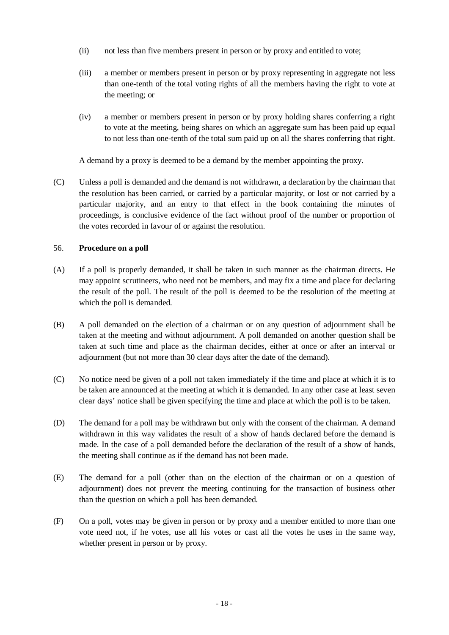- (ii) not less than five members present in person or by proxy and entitled to vote;
- (iii) a member or members present in person or by proxy representing in aggregate not less than one-tenth of the total voting rights of all the members having the right to vote at the meeting; or
- (iv) a member or members present in person or by proxy holding shares conferring a right to vote at the meeting, being shares on which an aggregate sum has been paid up equal to not less than one-tenth of the total sum paid up on all the shares conferring that right.

A demand by a proxy is deemed to be a demand by the member appointing the proxy.

(C) Unless a poll is demanded and the demand is not withdrawn, a declaration by the chairman that the resolution has been carried, or carried by a particular majority, or lost or not carried by a particular majority, and an entry to that effect in the book containing the minutes of proceedings, is conclusive evidence of the fact without proof of the number or proportion of the votes recorded in favour of or against the resolution.

## 56. **Procedure on a poll**

- (A) If a poll is properly demanded, it shall be taken in such manner as the chairman directs. He may appoint scrutineers, who need not be members, and may fix a time and place for declaring the result of the poll. The result of the poll is deemed to be the resolution of the meeting at which the poll is demanded.
- (B) A poll demanded on the election of a chairman or on any question of adjournment shall be taken at the meeting and without adjournment. A poll demanded on another question shall be taken at such time and place as the chairman decides, either at once or after an interval or adjournment (but not more than 30 clear days after the date of the demand).
- (C) No notice need be given of a poll not taken immediately if the time and place at which it is to be taken are announced at the meeting at which it is demanded. In any other case at least seven clear days' notice shall be given specifying the time and place at which the poll is to be taken.
- (D) The demand for a poll may be withdrawn but only with the consent of the chairman. A demand withdrawn in this way validates the result of a show of hands declared before the demand is made. In the case of a poll demanded before the declaration of the result of a show of hands, the meeting shall continue as if the demand has not been made.
- (E) The demand for a poll (other than on the election of the chairman or on a question of adjournment) does not prevent the meeting continuing for the transaction of business other than the question on which a poll has been demanded.
- (F) On a poll, votes may be given in person or by proxy and a member entitled to more than one vote need not, if he votes, use all his votes or cast all the votes he uses in the same way, whether present in person or by proxy.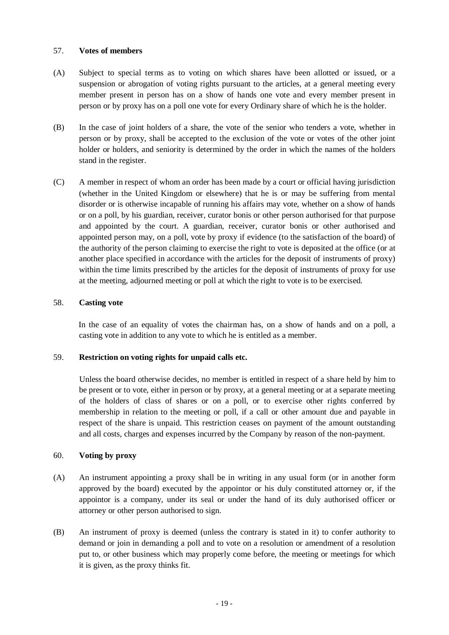#### 57. **Votes of members**

- (A) Subject to special terms as to voting on which shares have been allotted or issued, or a suspension or abrogation of voting rights pursuant to the articles, at a general meeting every member present in person has on a show of hands one vote and every member present in person or by proxy has on a poll one vote for every Ordinary share of which he is the holder.
- (B) In the case of joint holders of a share, the vote of the senior who tenders a vote, whether in person or by proxy, shall be accepted to the exclusion of the vote or votes of the other joint holder or holders, and seniority is determined by the order in which the names of the holders stand in the register.
- (C) A member in respect of whom an order has been made by a court or official having jurisdiction (whether in the United Kingdom or elsewhere) that he is or may be suffering from mental disorder or is otherwise incapable of running his affairs may vote, whether on a show of hands or on a poll, by his guardian, receiver, curator bonis or other person authorised for that purpose and appointed by the court. A guardian, receiver, curator bonis or other authorised and appointed person may, on a poll, vote by proxy if evidence (to the satisfaction of the board) of the authority of the person claiming to exercise the right to vote is deposited at the office (or at another place specified in accordance with the articles for the deposit of instruments of proxy) within the time limits prescribed by the articles for the deposit of instruments of proxy for use at the meeting, adjourned meeting or poll at which the right to vote is to be exercised.

#### 58. **Casting vote**

In the case of an equality of votes the chairman has, on a show of hands and on a poll, a casting vote in addition to any vote to which he is entitled as a member.

#### 59. **Restriction on voting rights for unpaid calls etc.**

Unless the board otherwise decides, no member is entitled in respect of a share held by him to be present or to vote, either in person or by proxy, at a general meeting or at a separate meeting of the holders of class of shares or on a poll, or to exercise other rights conferred by membership in relation to the meeting or poll, if a call or other amount due and payable in respect of the share is unpaid. This restriction ceases on payment of the amount outstanding and all costs, charges and expenses incurred by the Company by reason of the non-payment.

## 60. **Voting by proxy**

- (A) An instrument appointing a proxy shall be in writing in any usual form (or in another form approved by the board) executed by the appointor or his duly constituted attorney or, if the appointor is a company, under its seal or under the hand of its duly authorised officer or attorney or other person authorised to sign.
- (B) An instrument of proxy is deemed (unless the contrary is stated in it) to confer authority to demand or join in demanding a poll and to vote on a resolution or amendment of a resolution put to, or other business which may properly come before, the meeting or meetings for which it is given, as the proxy thinks fit.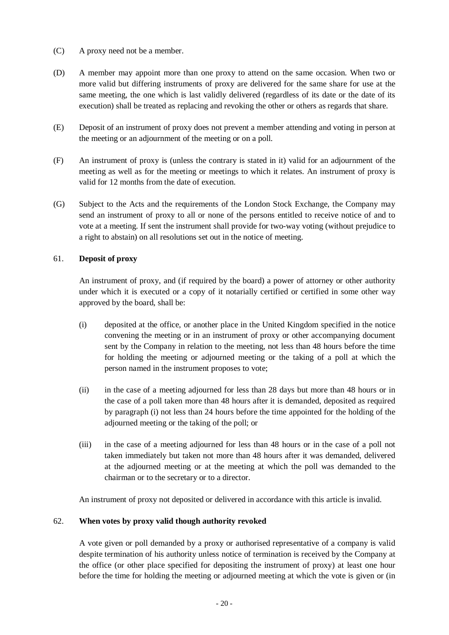- (C) A proxy need not be a member.
- (D) A member may appoint more than one proxy to attend on the same occasion. When two or more valid but differing instruments of proxy are delivered for the same share for use at the same meeting, the one which is last validly delivered (regardless of its date or the date of its execution) shall be treated as replacing and revoking the other or others as regards that share.
- (E) Deposit of an instrument of proxy does not prevent a member attending and voting in person at the meeting or an adjournment of the meeting or on a poll.
- (F) An instrument of proxy is (unless the contrary is stated in it) valid for an adjournment of the meeting as well as for the meeting or meetings to which it relates. An instrument of proxy is valid for 12 months from the date of execution.
- (G) Subject to the Acts and the requirements of the London Stock Exchange, the Company may send an instrument of proxy to all or none of the persons entitled to receive notice of and to vote at a meeting. If sent the instrument shall provide for two-way voting (without prejudice to a right to abstain) on all resolutions set out in the notice of meeting.

## 61. **Deposit of proxy**

An instrument of proxy, and (if required by the board) a power of attorney or other authority under which it is executed or a copy of it notarially certified or certified in some other way approved by the board, shall be:

- (i) deposited at the office, or another place in the United Kingdom specified in the notice convening the meeting or in an instrument of proxy or other accompanying document sent by the Company in relation to the meeting, not less than 48 hours before the time for holding the meeting or adjourned meeting or the taking of a poll at which the person named in the instrument proposes to vote;
- (ii) in the case of a meeting adjourned for less than 28 days but more than 48 hours or in the case of a poll taken more than 48 hours after it is demanded, deposited as required by paragraph (i) not less than 24 hours before the time appointed for the holding of the adjourned meeting or the taking of the poll; or
- (iii) in the case of a meeting adjourned for less than 48 hours or in the case of a poll not taken immediately but taken not more than 48 hours after it was demanded, delivered at the adjourned meeting or at the meeting at which the poll was demanded to the chairman or to the secretary or to a director.

An instrument of proxy not deposited or delivered in accordance with this article is invalid.

## 62. **When votes by proxy valid though authority revoked**

A vote given or poll demanded by a proxy or authorised representative of a company is valid despite termination of his authority unless notice of termination is received by the Company at the office (or other place specified for depositing the instrument of proxy) at least one hour before the time for holding the meeting or adjourned meeting at which the vote is given or (in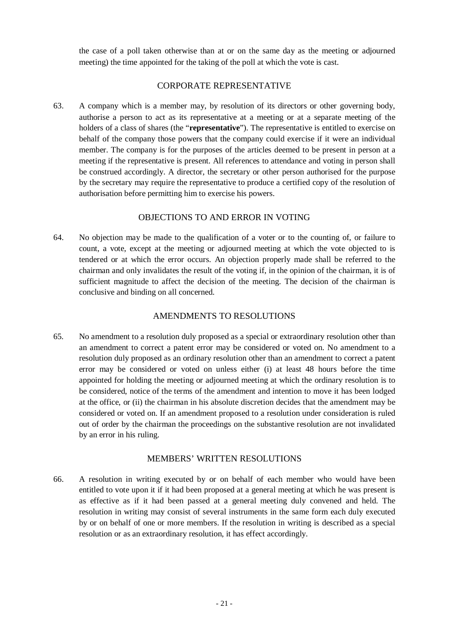the case of a poll taken otherwise than at or on the same day as the meeting or adjourned meeting) the time appointed for the taking of the poll at which the vote is cast.

## CORPORATE REPRESENTATIVE

63. A company which is a member may, by resolution of its directors or other governing body, authorise a person to act as its representative at a meeting or at a separate meeting of the holders of a class of shares (the "**representative**"). The representative is entitled to exercise on behalf of the company those powers that the company could exercise if it were an individual member. The company is for the purposes of the articles deemed to be present in person at a meeting if the representative is present. All references to attendance and voting in person shall be construed accordingly. A director, the secretary or other person authorised for the purpose by the secretary may require the representative to produce a certified copy of the resolution of authorisation before permitting him to exercise his powers.

## OBJECTIONS TO AND ERROR IN VOTING

64. No objection may be made to the qualification of a voter or to the counting of, or failure to count, a vote, except at the meeting or adjourned meeting at which the vote objected to is tendered or at which the error occurs. An objection properly made shall be referred to the chairman and only invalidates the result of the voting if, in the opinion of the chairman, it is of sufficient magnitude to affect the decision of the meeting. The decision of the chairman is conclusive and binding on all concerned.

# AMENDMENTS TO RESOLUTIONS

65*.* No amendment to a resolution duly proposed as a special or extraordinary resolution other than an amendment to correct a patent error may be considered or voted on. No amendment to a resolution duly proposed as an ordinary resolution other than an amendment to correct a patent error may be considered or voted on unless either (i) at least 48 hours before the time appointed for holding the meeting or adjourned meeting at which the ordinary resolution is to be considered, notice of the terms of the amendment and intention to move it has been lodged at the office, or (ii) the chairman in his absolute discretion decides that the amendment may be considered or voted on. If an amendment proposed to a resolution under consideration is ruled out of order by the chairman the proceedings on the substantive resolution are not invalidated by an error in his ruling.

## MEMBERS' WRITTEN RESOLUTIONS

66. A resolution in writing executed by or on behalf of each member who would have been entitled to vote upon it if it had been proposed at a general meeting at which he was present is as effective as if it had been passed at a general meeting duly convened and held. The resolution in writing may consist of several instruments in the same form each duly executed by or on behalf of one or more members. If the resolution in writing is described as a special resolution or as an extraordinary resolution, it has effect accordingly.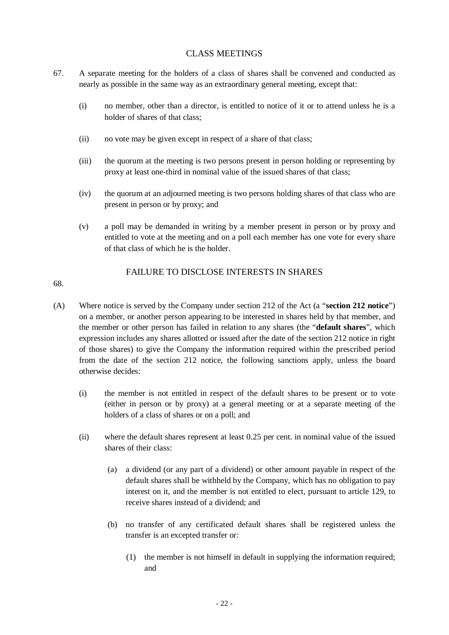# CLASS MEETINGS

- 67. A separate meeting for the holders of a class of shares shall be convened and conducted as nearly as possible in the same way as an extraordinary general meeting, except that:
	- (i) no member, other than a director, is entitled to notice of it or to attend unless he is a holder of shares of that class;
	- (ii) no vote may be given except in respect of a share of that class;
	- (iii) the quorum at the meeting is two persons present in person holding or representing by proxy at least one-third in nominal value of the issued shares of that class;
	- (iv) the quorum at an adjourned meeting is two persons holding shares of that class who are present in person or by proxy; and
	- (v) a poll may be demanded in writing by a member present in person or by proxy and entitled to vote at the meeting and on a poll each member has one vote for every share of that class of which he is the holder.

# 68.

# FAILURE TO DISCLOSE INTERESTS IN SHARES

- (A) Where notice is served by the Company under section 212 of the Act (a "**section 212 notice**") on a member, or another person appearing to be interested in shares held by that member, and the member or other person has failed in relation to any shares (the "**default shares**", which expression includes any shares allotted or issued after the date of the section 212 notice in right of those shares) to give the Company the information required within the prescribed period from the date of the section 212 notice, the following sanctions apply, unless the board otherwise decides:
	- (i) the member is not entitled in respect of the default shares to be present or to vote (either in person or by proxy) at a general meeting or at a separate meeting of the holders of a class of shares or on a poll; and
	- (ii) where the default shares represent at least 0.25 per cent. in nominal value of the issued shares of their class:
		- (a) a dividend (or any part of a dividend) or other amount payable in respect of the default shares shall be withheld by the Company, which has no obligation to pay interest on it, and the member is not entitled to elect, pursuant to article 129, to receive shares instead of a dividend; and
		- (b) no transfer of any certificated default shares shall be registered unless the transfer is an excepted transfer or:
			- (1) the member is not himself in default in supplying the information required; and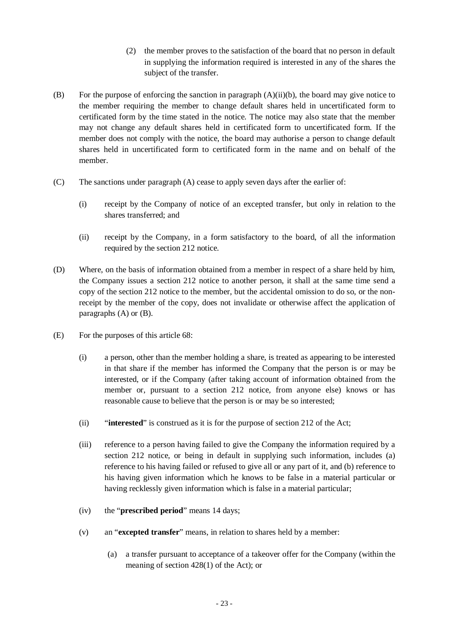- (2) the member proves to the satisfaction of the board that no person in default in supplying the information required is interested in any of the shares the subject of the transfer.
- (B) For the purpose of enforcing the sanction in paragraph  $(A)(ii)(b)$ , the board may give notice to the member requiring the member to change default shares held in uncertificated form to certificated form by the time stated in the notice. The notice may also state that the member may not change any default shares held in certificated form to uncertificated form. If the member does not comply with the notice, the board may authorise a person to change default shares held in uncertificated form to certificated form in the name and on behalf of the member.
- (C) The sanctions under paragraph (A) cease to apply seven days after the earlier of:
	- (i) receipt by the Company of notice of an excepted transfer, but only in relation to the shares transferred; and
	- (ii) receipt by the Company, in a form satisfactory to the board, of all the information required by the section 212 notice.
- (D) Where, on the basis of information obtained from a member in respect of a share held by him, the Company issues a section 212 notice to another person, it shall at the same time send a copy of the section 212 notice to the member, but the accidental omission to do so, or the nonreceipt by the member of the copy, does not invalidate or otherwise affect the application of paragraphs (A) or (B).
- (E) For the purposes of this article 68:
	- (i) a person, other than the member holding a share, is treated as appearing to be interested in that share if the member has informed the Company that the person is or may be interested, or if the Company (after taking account of information obtained from the member or, pursuant to a section 212 notice, from anyone else) knows or has reasonable cause to believe that the person is or may be so interested;
	- (ii) "**interested**" is construed as it is for the purpose of section 212 of the Act;
	- (iii) reference to a person having failed to give the Company the information required by a section 212 notice, or being in default in supplying such information, includes (a) reference to his having failed or refused to give all or any part of it, and (b) reference to his having given information which he knows to be false in a material particular or having recklessly given information which is false in a material particular;
	- (iv) the "**prescribed period**" means 14 days;
	- (v) an "**excepted transfer**" means, in relation to shares held by a member:
		- (a) a transfer pursuant to acceptance of a takeover offer for the Company (within the meaning of section 428(1) of the Act); or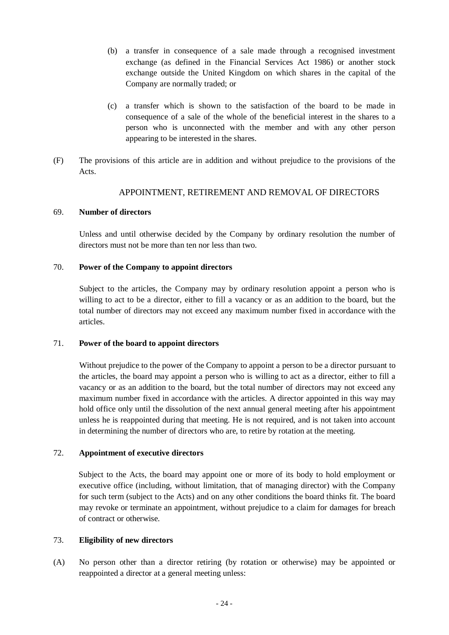- (b) a transfer in consequence of a sale made through a recognised investment exchange (as defined in the Financial Services Act 1986) or another stock exchange outside the United Kingdom on which shares in the capital of the Company are normally traded; or
- (c) a transfer which is shown to the satisfaction of the board to be made in consequence of a sale of the whole of the beneficial interest in the shares to a person who is unconnected with the member and with any other person appearing to be interested in the shares.
- (F) The provisions of this article are in addition and without prejudice to the provisions of the Acts.

## APPOINTMENT, RETIREMENT AND REMOVAL OF DIRECTORS

#### 69. **Number of directors**

Unless and until otherwise decided by the Company by ordinary resolution the number of directors must not be more than ten nor less than two.

#### 70. **Power of the Company to appoint directors**

Subject to the articles, the Company may by ordinary resolution appoint a person who is willing to act to be a director, either to fill a vacancy or as an addition to the board, but the total number of directors may not exceed any maximum number fixed in accordance with the articles.

#### 71. **Power of the board to appoint directors**

Without prejudice to the power of the Company to appoint a person to be a director pursuant to the articles, the board may appoint a person who is willing to act as a director, either to fill a vacancy or as an addition to the board, but the total number of directors may not exceed any maximum number fixed in accordance with the articles. A director appointed in this way may hold office only until the dissolution of the next annual general meeting after his appointment unless he is reappointed during that meeting. He is not required, and is not taken into account in determining the number of directors who are, to retire by rotation at the meeting.

#### 72. **Appointment of executive directors**

Subject to the Acts, the board may appoint one or more of its body to hold employment or executive office (including, without limitation, that of managing director) with the Company for such term (subject to the Acts) and on any other conditions the board thinks fit. The board may revoke or terminate an appointment, without prejudice to a claim for damages for breach of contract or otherwise.

#### 73. **Eligibility of new directors**

(A) No person other than a director retiring (by rotation or otherwise) may be appointed or reappointed a director at a general meeting unless: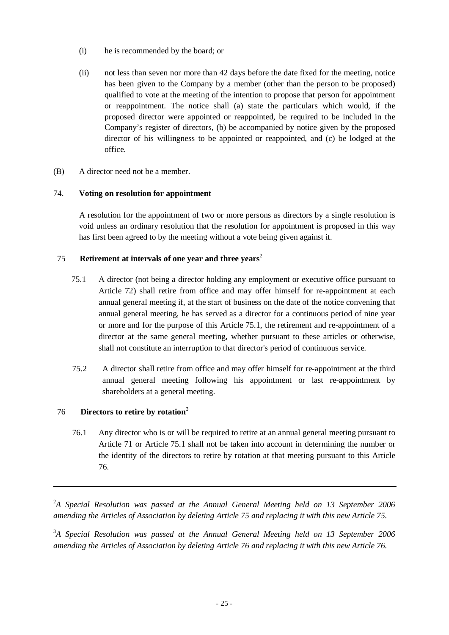- (i) he is recommended by the board; or
- (ii) not less than seven nor more than 42 days before the date fixed for the meeting, notice has been given to the Company by a member (other than the person to be proposed) qualified to vote at the meeting of the intention to propose that person for appointment or reappointment. The notice shall (a) state the particulars which would, if the proposed director were appointed or reappointed, be required to be included in the Company's register of directors, (b) be accompanied by notice given by the proposed director of his willingness to be appointed or reappointed, and (c) be lodged at the office.
- (B) A director need not be a member.

## 74. **Voting on resolution for appointment**

A resolution for the appointment of two or more persons as directors by a single resolution is void unless an ordinary resolution that the resolution for appointment is proposed in this way has first been agreed to by the meeting without a vote being given against it.

# 75 **Retirement at intervals of one year and three years**<sup>2</sup>

- 75.1 A director (not being a director holding any employment or executive office pursuant to Article 72) shall retire from office and may offer himself for re-appointment at each annual general meeting if, at the start of business on the date of the notice convening that annual general meeting, he has served as a director for a continuous period of nine year or more and for the purpose of this Article 75.1, the retirement and re-appointment of a director at the same general meeting, whether pursuant to these articles or otherwise, shall not constitute an interruption to that director's period of continuous service.
- 75.2 A director shall retire from office and may offer himself for re-appointment at the third annual general meeting following his appointment or last re-appointment by shareholders at a general meeting.

## 76 **Directors to retire by rotation**<sup>3</sup>

76.1 Any director who is or will be required to retire at an annual general meeting pursuant to Article 71 or Article 75.1 shall not be taken into account in determining the number or the identity of the directors to retire by rotation at that meeting pursuant to this Article 76.

<sup>2</sup>A Special Resolution was passed at the Annual General Meeting held on 13 September 2006 *amending the Articles of Association by deleting Article 75 and replacing it with this new Article 75.* 

<sup>3</sup>A Special Resolution was passed at the Annual General Meeting held on 13 September 2006 *amending the Articles of Association by deleting Article 76 and replacing it with this new Article 76.*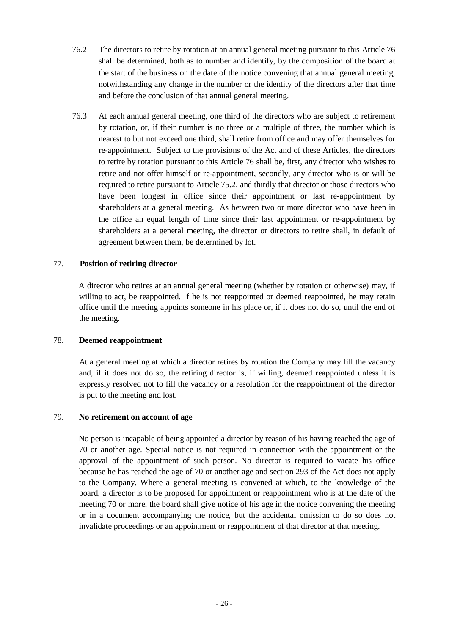- 76.2 The directors to retire by rotation at an annual general meeting pursuant to this Article 76 shall be determined, both as to number and identify, by the composition of the board at the start of the business on the date of the notice convening that annual general meeting, notwithstanding any change in the number or the identity of the directors after that time and before the conclusion of that annual general meeting.
- 76.3 At each annual general meeting, one third of the directors who are subject to retirement by rotation, or, if their number is no three or a multiple of three, the number which is nearest to but not exceed one third, shall retire from office and may offer themselves for re-appointment. Subject to the provisions of the Act and of these Articles, the directors to retire by rotation pursuant to this Article 76 shall be, first, any director who wishes to retire and not offer himself or re-appointment, secondly, any director who is or will be required to retire pursuant to Article 75.2, and thirdly that director or those directors who have been longest in office since their appointment or last re-appointment by shareholders at a general meeting. As between two or more director who have been in the office an equal length of time since their last appointment or re-appointment by shareholders at a general meeting, the director or directors to retire shall, in default of agreement between them, be determined by lot.

#### 77. **Position of retiring director**

A director who retires at an annual general meeting (whether by rotation or otherwise) may, if willing to act, be reappointed. If he is not reappointed or deemed reappointed, he may retain office until the meeting appoints someone in his place or, if it does not do so, until the end of the meeting.

#### 78. **Deemed reappointment**

At a general meeting at which a director retires by rotation the Company may fill the vacancy and, if it does not do so, the retiring director is, if willing, deemed reappointed unless it is expressly resolved not to fill the vacancy or a resolution for the reappointment of the director is put to the meeting and lost.

#### 79. **No retirement on account of age**

No person is incapable of being appointed a director by reason of his having reached the age of 70 or another age. Special notice is not required in connection with the appointment or the approval of the appointment of such person. No director is required to vacate his office because he has reached the age of 70 or another age and section 293 of the Act does not apply to the Company. Where a general meeting is convened at which, to the knowledge of the board, a director is to be proposed for appointment or reappointment who is at the date of the meeting 70 or more, the board shall give notice of his age in the notice convening the meeting or in a document accompanying the notice, but the accidental omission to do so does not invalidate proceedings or an appointment or reappointment of that director at that meeting.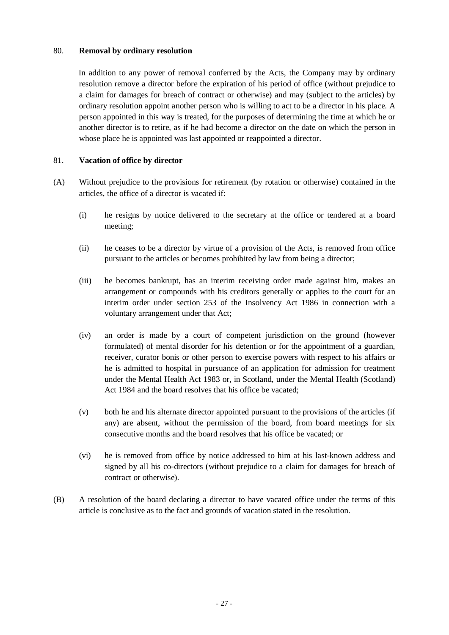#### 80. **Removal by ordinary resolution**

In addition to any power of removal conferred by the Acts, the Company may by ordinary resolution remove a director before the expiration of his period of office (without prejudice to a claim for damages for breach of contract or otherwise) and may (subject to the articles) by ordinary resolution appoint another person who is willing to act to be a director in his place. A person appointed in this way is treated, for the purposes of determining the time at which he or another director is to retire, as if he had become a director on the date on which the person in whose place he is appointed was last appointed or reappointed a director.

## 81. **Vacation of office by director**

- (A) Without prejudice to the provisions for retirement (by rotation or otherwise) contained in the articles, the office of a director is vacated if:
	- (i) he resigns by notice delivered to the secretary at the office or tendered at a board meeting;
	- (ii) he ceases to be a director by virtue of a provision of the Acts, is removed from office pursuant to the articles or becomes prohibited by law from being a director;
	- (iii) he becomes bankrupt, has an interim receiving order made against him, makes an arrangement or compounds with his creditors generally or applies to the court for an interim order under section 253 of the Insolvency Act 1986 in connection with a voluntary arrangement under that Act;
	- (iv) an order is made by a court of competent jurisdiction on the ground (however formulated) of mental disorder for his detention or for the appointment of a guardian, receiver, curator bonis or other person to exercise powers with respect to his affairs or he is admitted to hospital in pursuance of an application for admission for treatment under the Mental Health Act 1983 or, in Scotland, under the Mental Health (Scotland) Act 1984 and the board resolves that his office be vacated;
	- (v) both he and his alternate director appointed pursuant to the provisions of the articles (if any) are absent, without the permission of the board, from board meetings for six consecutive months and the board resolves that his office be vacated; or
	- (vi) he is removed from office by notice addressed to him at his last-known address and signed by all his co-directors (without prejudice to a claim for damages for breach of contract or otherwise).
- (B) A resolution of the board declaring a director to have vacated office under the terms of this article is conclusive as to the fact and grounds of vacation stated in the resolution.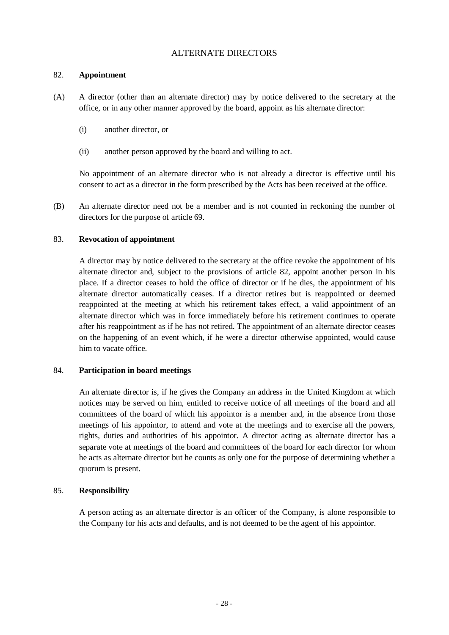## ALTERNATE DIRECTORS

#### 82. **Appointment**

- (A) A director (other than an alternate director) may by notice delivered to the secretary at the office, or in any other manner approved by the board, appoint as his alternate director:
	- (i) another director, or
	- (ii) another person approved by the board and willing to act.

No appointment of an alternate director who is not already a director is effective until his consent to act as a director in the form prescribed by the Acts has been received at the office.

(B) An alternate director need not be a member and is not counted in reckoning the number of directors for the purpose of article 69.

#### 83. **Revocation of appointment**

A director may by notice delivered to the secretary at the office revoke the appointment of his alternate director and, subject to the provisions of article 82, appoint another person in his place. If a director ceases to hold the office of director or if he dies, the appointment of his alternate director automatically ceases. If a director retires but is reappointed or deemed reappointed at the meeting at which his retirement takes effect, a valid appointment of an alternate director which was in force immediately before his retirement continues to operate after his reappointment as if he has not retired. The appointment of an alternate director ceases on the happening of an event which, if he were a director otherwise appointed, would cause him to vacate office.

#### 84. **Participation in board meetings**

An alternate director is, if he gives the Company an address in the United Kingdom at which notices may be served on him, entitled to receive notice of all meetings of the board and all committees of the board of which his appointor is a member and, in the absence from those meetings of his appointor, to attend and vote at the meetings and to exercise all the powers, rights, duties and authorities of his appointor. A director acting as alternate director has a separate vote at meetings of the board and committees of the board for each director for whom he acts as alternate director but he counts as only one for the purpose of determining whether a quorum is present.

## 85. **Responsibility**

A person acting as an alternate director is an officer of the Company, is alone responsible to the Company for his acts and defaults, and is not deemed to be the agent of his appointor.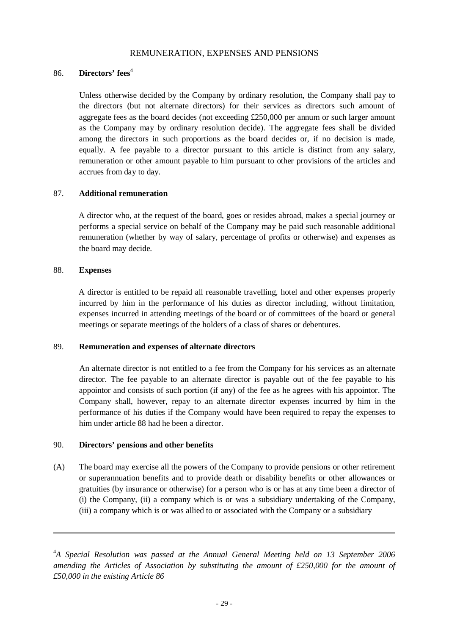## REMUNERATION, EXPENSES AND PENSIONS

## 86. **Directors' fees**<sup>4</sup>

Unless otherwise decided by the Company by ordinary resolution, the Company shall pay to the directors (but not alternate directors) for their services as directors such amount of aggregate fees as the board decides (not exceeding £250,000 per annum or such larger amount as the Company may by ordinary resolution decide). The aggregate fees shall be divided among the directors in such proportions as the board decides or, if no decision is made, equally. A fee payable to a director pursuant to this article is distinct from any salary, remuneration or other amount payable to him pursuant to other provisions of the articles and accrues from day to day.

## 87. **Additional remuneration**

A director who, at the request of the board, goes or resides abroad, makes a special journey or performs a special service on behalf of the Company may be paid such reasonable additional remuneration (whether by way of salary, percentage of profits or otherwise) and expenses as the board may decide.

## 88. **Expenses**

A director is entitled to be repaid all reasonable travelling, hotel and other expenses properly incurred by him in the performance of his duties as director including, without limitation, expenses incurred in attending meetings of the board or of committees of the board or general meetings or separate meetings of the holders of a class of shares or debentures.

## 89. **Remuneration and expenses of alternate directors**

An alternate director is not entitled to a fee from the Company for his services as an alternate director. The fee payable to an alternate director is payable out of the fee payable to his appointor and consists of such portion (if any) of the fee as he agrees with his appointor. The Company shall, however, repay to an alternate director expenses incurred by him in the performance of his duties if the Company would have been required to repay the expenses to him under article 88 had he been a director.

## 90. **Directors' pensions and other benefits**

(A) The board may exercise all the powers of the Company to provide pensions or other retirement or superannuation benefits and to provide death or disability benefits or other allowances or gratuities (by insurance or otherwise) for a person who is or has at any time been a director of (i) the Company, (ii) a company which is or was a subsidiary undertaking of the Company, (iii) a company which is or was allied to or associated with the Company or a subsidiary

<sup>4</sup>A Special Resolution was passed at the Annual General Meeting held on 13 September 2006 *amending the Articles of Association by substituting the amount of £250,000 for the amount of £50,000 in the existing Article 86*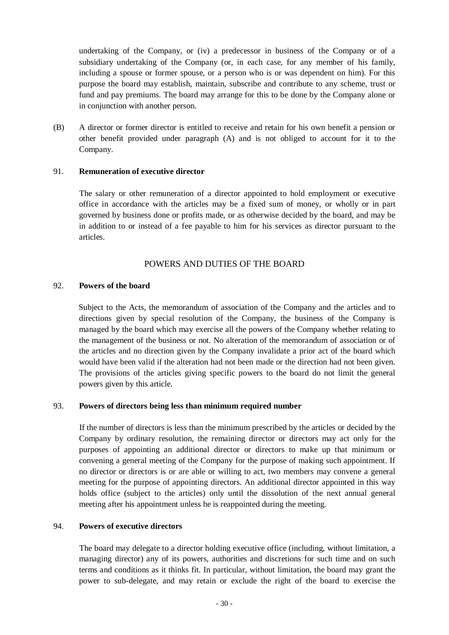undertaking of the Company, or (iv) a predecessor in business of the Company or of a subsidiary undertaking of the Company (or, in each case, for any member of his family, including a spouse or former spouse, or a person who is or was dependent on him). For this purpose the board may establish, maintain, subscribe and contribute to any scheme, trust or fund and pay premiums. The board may arrange for this to be done by the Company alone or in conjunction with another person.

(B) A director or former director is entitled to receive and retain for his own benefit a pension or other benefit provided under paragraph (A) and is not obliged to account for it to the Company.

#### 91. **Remuneration of executive director**

The salary or other remuneration of a director appointed to hold employment or executive office in accordance with the articles may be a fixed sum of money, or wholly or in part governed by business done or profits made, or as otherwise decided by the board, and may be in addition to or instead of a fee payable to him for his services as director pursuant to the articles.

## POWERS AND DUTIES OF THE BOARD

#### 92. **Powers of the board**

Subject to the Acts, the memorandum of association of the Company and the articles and to directions given by special resolution of the Company, the business of the Company is managed by the board which may exercise all the powers of the Company whether relating to the management of the business or not. No alteration of the memorandum of association or of the articles and no direction given by the Company invalidate a prior act of the board which would have been valid if the alteration had not been made or the direction had not been given. The provisions of the articles giving specific powers to the board do not limit the general powers given by this article.

#### 93. **Powers of directors being less than minimum required number**

If the number of directors is less than the minimum prescribed by the articles or decided by the Company by ordinary resolution, the remaining director or directors may act only for the purposes of appointing an additional director or directors to make up that minimum or convening a general meeting of the Company for the purpose of making such appointment. If no director or directors is or are able or willing to act, two members may convene a general meeting for the purpose of appointing directors. An additional director appointed in this way holds office (subject to the articles) only until the dissolution of the next annual general meeting after his appointment unless he is reappointed during the meeting.

#### 94. **Powers of executive directors**

The board may delegate to a director holding executive office (including, without limitation, a managing director) any of its powers, authorities and discretions for such time and on such terms and conditions as it thinks fit. In particular, without limitation, the board may grant the power to sub-delegate, and may retain or exclude the right of the board to exercise the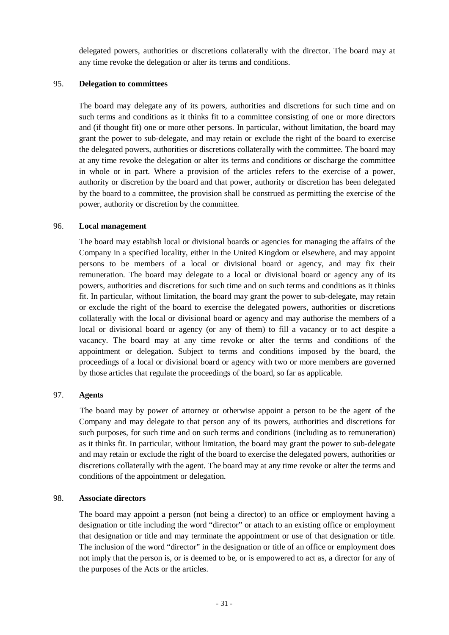delegated powers, authorities or discretions collaterally with the director. The board may at any time revoke the delegation or alter its terms and conditions.

#### 95. **Delegation to committees**

The board may delegate any of its powers, authorities and discretions for such time and on such terms and conditions as it thinks fit to a committee consisting of one or more directors and (if thought fit) one or more other persons. In particular, without limitation, the board may grant the power to sub-delegate, and may retain or exclude the right of the board to exercise the delegated powers, authorities or discretions collaterally with the committee. The board may at any time revoke the delegation or alter its terms and conditions or discharge the committee in whole or in part. Where a provision of the articles refers to the exercise of a power, authority or discretion by the board and that power, authority or discretion has been delegated by the board to a committee, the provision shall be construed as permitting the exercise of the power, authority or discretion by the committee.

#### 96. **Local management**

The board may establish local or divisional boards or agencies for managing the affairs of the Company in a specified locality, either in the United Kingdom or elsewhere, and may appoint persons to be members of a local or divisional board or agency, and may fix their remuneration. The board may delegate to a local or divisional board or agency any of its powers, authorities and discretions for such time and on such terms and conditions as it thinks fit. In particular, without limitation, the board may grant the power to sub-delegate, may retain or exclude the right of the board to exercise the delegated powers, authorities or discretions collaterally with the local or divisional board or agency and may authorise the members of a local or divisional board or agency (or any of them) to fill a vacancy or to act despite a vacancy. The board may at any time revoke or alter the terms and conditions of the appointment or delegation. Subject to terms and conditions imposed by the board, the proceedings of a local or divisional board or agency with two or more members are governed by those articles that regulate the proceedings of the board, so far as applicable.

#### 97. **Agents**

The board may by power of attorney or otherwise appoint a person to be the agent of the Company and may delegate to that person any of its powers, authorities and discretions for such purposes, for such time and on such terms and conditions (including as to remuneration) as it thinks fit. In particular, without limitation, the board may grant the power to sub-delegate and may retain or exclude the right of the board to exercise the delegated powers, authorities or discretions collaterally with the agent. The board may at any time revoke or alter the terms and conditions of the appointment or delegation.

#### 98. **Associate directors**

The board may appoint a person (not being a director) to an office or employment having a designation or title including the word "director" or attach to an existing office or employment that designation or title and may terminate the appointment or use of that designation or title. The inclusion of the word "director" in the designation or title of an office or employment does not imply that the person is, or is deemed to be, or is empowered to act as, a director for any of the purposes of the Acts or the articles.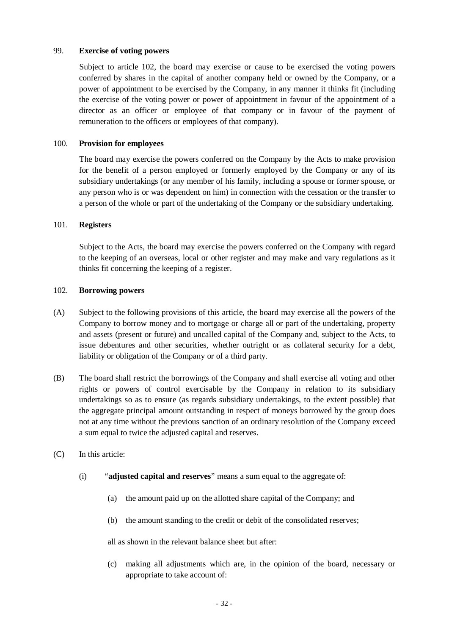#### 99. **Exercise of voting powers**

Subject to article 102, the board may exercise or cause to be exercised the voting powers conferred by shares in the capital of another company held or owned by the Company, or a power of appointment to be exercised by the Company, in any manner it thinks fit (including the exercise of the voting power or power of appointment in favour of the appointment of a director as an officer or employee of that company or in favour of the payment of remuneration to the officers or employees of that company).

## 100. **Provision for employees**

The board may exercise the powers conferred on the Company by the Acts to make provision for the benefit of a person employed or formerly employed by the Company or any of its subsidiary undertakings (or any member of his family, including a spouse or former spouse, or any person who is or was dependent on him) in connection with the cessation or the transfer to a person of the whole or part of the undertaking of the Company or the subsidiary undertaking.

#### 101. **Registers**

Subject to the Acts, the board may exercise the powers conferred on the Company with regard to the keeping of an overseas, local or other register and may make and vary regulations as it thinks fit concerning the keeping of a register.

#### 102. **Borrowing powers**

- (A) Subject to the following provisions of this article, the board may exercise all the powers of the Company to borrow money and to mortgage or charge all or part of the undertaking, property and assets (present or future) and uncalled capital of the Company and, subject to the Acts, to issue debentures and other securities, whether outright or as collateral security for a debt, liability or obligation of the Company or of a third party.
- (B) The board shall restrict the borrowings of the Company and shall exercise all voting and other rights or powers of control exercisable by the Company in relation to its subsidiary undertakings so as to ensure (as regards subsidiary undertakings, to the extent possible) that the aggregate principal amount outstanding in respect of moneys borrowed by the group does not at any time without the previous sanction of an ordinary resolution of the Company exceed a sum equal to twice the adjusted capital and reserves.
- (C) In this article:
	- (i) "**adjusted capital and reserves**" means a sum equal to the aggregate of:
		- (a) the amount paid up on the allotted share capital of the Company; and
		- (b) the amount standing to the credit or debit of the consolidated reserves;

all as shown in the relevant balance sheet but after:

(c) making all adjustments which are, in the opinion of the board, necessary or appropriate to take account of: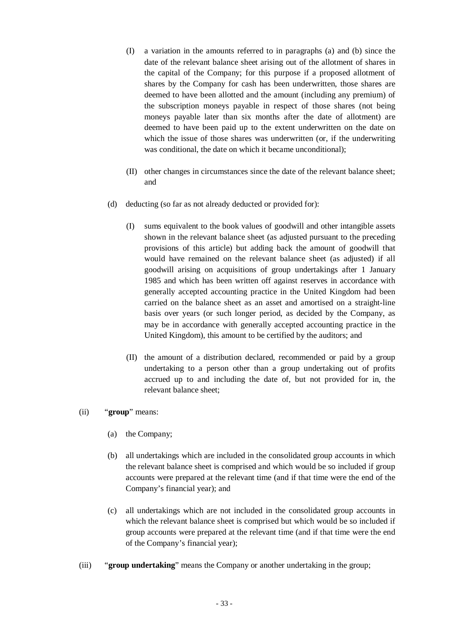- (I) a variation in the amounts referred to in paragraphs (a) and (b) since the date of the relevant balance sheet arising out of the allotment of shares in the capital of the Company; for this purpose if a proposed allotment of shares by the Company for cash has been underwritten, those shares are deemed to have been allotted and the amount (including any premium) of the subscription moneys payable in respect of those shares (not being moneys payable later than six months after the date of allotment) are deemed to have been paid up to the extent underwritten on the date on which the issue of those shares was underwritten (or, if the underwriting was conditional, the date on which it became unconditional);
- (II) other changes in circumstances since the date of the relevant balance sheet; and
- (d) deducting (so far as not already deducted or provided for):
	- (I) sums equivalent to the book values of goodwill and other intangible assets shown in the relevant balance sheet (as adjusted pursuant to the preceding provisions of this article) but adding back the amount of goodwill that would have remained on the relevant balance sheet (as adjusted) if all goodwill arising on acquisitions of group undertakings after 1 January 1985 and which has been written off against reserves in accordance with generally accepted accounting practice in the United Kingdom had been carried on the balance sheet as an asset and amortised on a straight-line basis over years (or such longer period, as decided by the Company, as may be in accordance with generally accepted accounting practice in the United Kingdom), this amount to be certified by the auditors; and
	- (II) the amount of a distribution declared, recommended or paid by a group undertaking to a person other than a group undertaking out of profits accrued up to and including the date of, but not provided for in, the relevant balance sheet;

#### (ii) "**group**" means:

- (a) the Company;
- (b) all undertakings which are included in the consolidated group accounts in which the relevant balance sheet is comprised and which would be so included if group accounts were prepared at the relevant time (and if that time were the end of the Company's financial year); and
- (c) all undertakings which are not included in the consolidated group accounts in which the relevant balance sheet is comprised but which would be so included if group accounts were prepared at the relevant time (and if that time were the end of the Company's financial year);
- (iii) "**group undertaking**" means the Company or another undertaking in the group;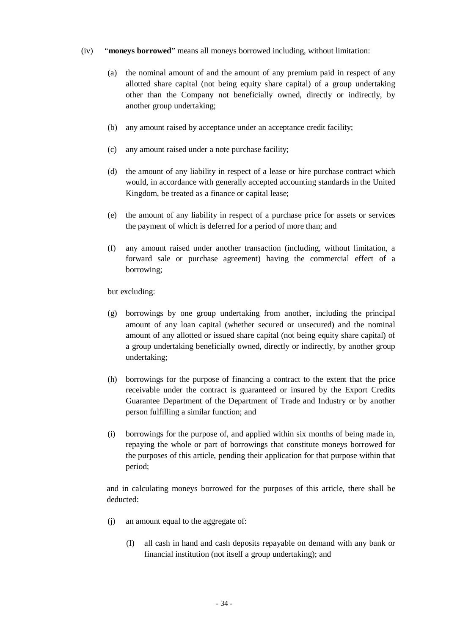## (iv) "**moneys borrowed**" means all moneys borrowed including, without limitation:

- (a) the nominal amount of and the amount of any premium paid in respect of any allotted share capital (not being equity share capital) of a group undertaking other than the Company not beneficially owned, directly or indirectly, by another group undertaking;
- (b) any amount raised by acceptance under an acceptance credit facility;
- (c) any amount raised under a note purchase facility;
- (d) the amount of any liability in respect of a lease or hire purchase contract which would, in accordance with generally accepted accounting standards in the United Kingdom, be treated as a finance or capital lease;
- (e) the amount of any liability in respect of a purchase price for assets or services the payment of which is deferred for a period of more than; and
- (f) any amount raised under another transaction (including, without limitation, a forward sale or purchase agreement) having the commercial effect of a borrowing;

but excluding:

- (g) borrowings by one group undertaking from another, including the principal amount of any loan capital (whether secured or unsecured) and the nominal amount of any allotted or issued share capital (not being equity share capital) of a group undertaking beneficially owned, directly or indirectly, by another group undertaking;
- (h) borrowings for the purpose of financing a contract to the extent that the price receivable under the contract is guaranteed or insured by the Export Credits Guarantee Department of the Department of Trade and Industry or by another person fulfilling a similar function; and
- (i) borrowings for the purpose of, and applied within six months of being made in, repaying the whole or part of borrowings that constitute moneys borrowed for the purposes of this article, pending their application for that purpose within that period;

and in calculating moneys borrowed for the purposes of this article, there shall be deducted:

- (j) an amount equal to the aggregate of:
	- (I) all cash in hand and cash deposits repayable on demand with any bank or financial institution (not itself a group undertaking); and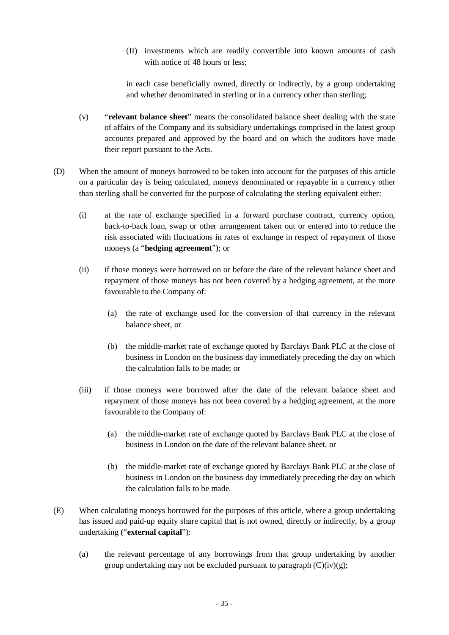(II) investments which are readily convertible into known amounts of cash with notice of 48 hours or less;

in each case beneficially owned, directly or indirectly, by a group undertaking and whether denominated in sterling or in a currency other than sterling;

- (v) "**relevant balance sheet**" means the consolidated balance sheet dealing with the state of affairs of the Company and its subsidiary undertakings comprised in the latest group accounts prepared and approved by the board and on which the auditors have made their report pursuant to the Acts.
- (D) When the amount of moneys borrowed to be taken into account for the purposes of this article on a particular day is being calculated, moneys denominated or repayable in a currency other than sterling shall be converted for the purpose of calculating the sterling equivalent either:
	- (i) at the rate of exchange specified in a forward purchase contract, currency option, back-to-back loan, swap or other arrangement taken out or entered into to reduce the risk associated with fluctuations in rates of exchange in respect of repayment of those moneys (a "**hedging agreement**"); or
	- (ii) if those moneys were borrowed on or before the date of the relevant balance sheet and repayment of those moneys has not been covered by a hedging agreement, at the more favourable to the Company of:
		- (a) the rate of exchange used for the conversion of that currency in the relevant balance sheet, or
		- (b) the middle-market rate of exchange quoted by Barclays Bank PLC at the close of business in London on the business day immediately preceding the day on which the calculation falls to be made; or
	- (iii) if those moneys were borrowed after the date of the relevant balance sheet and repayment of those moneys has not been covered by a hedging agreement, at the more favourable to the Company of:
		- (a) the middle-market rate of exchange quoted by Barclays Bank PLC at the close of business in London on the date of the relevant balance sheet, or
		- (b) the middle-market rate of exchange quoted by Barclays Bank PLC at the close of business in London on the business day immediately preceding the day on which the calculation falls to be made.
- (E) When calculating moneys borrowed for the purposes of this article, where a group undertaking has issued and paid-up equity share capital that is not owned, directly or indirectly, by a group undertaking ("**external capital**"):
	- (a) the relevant percentage of any borrowings from that group undertaking by another group undertaking may not be excluded pursuant to paragraph  $(C)(iv)(g)$ ;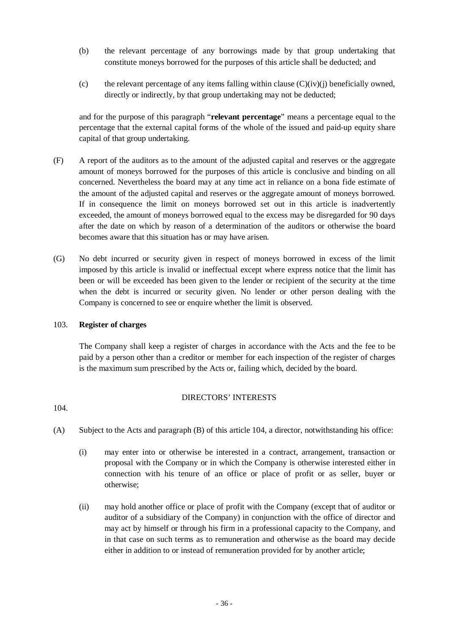- (b) the relevant percentage of any borrowings made by that group undertaking that constitute moneys borrowed for the purposes of this article shall be deducted; and
- (c) the relevant percentage of any items falling within clause  $(C)(iv)(j)$  beneficially owned, directly or indirectly, by that group undertaking may not be deducted;

and for the purpose of this paragraph "**relevant percentage**" means a percentage equal to the percentage that the external capital forms of the whole of the issued and paid-up equity share capital of that group undertaking.

- (F) A report of the auditors as to the amount of the adjusted capital and reserves or the aggregate amount of moneys borrowed for the purposes of this article is conclusive and binding on all concerned. Nevertheless the board may at any time act in reliance on a bona fide estimate of the amount of the adjusted capital and reserves or the aggregate amount of moneys borrowed. If in consequence the limit on moneys borrowed set out in this article is inadvertently exceeded, the amount of moneys borrowed equal to the excess may be disregarded for 90 days after the date on which by reason of a determination of the auditors or otherwise the board becomes aware that this situation has or may have arisen.
- (G) No debt incurred or security given in respect of moneys borrowed in excess of the limit imposed by this article is invalid or ineffectual except where express notice that the limit has been or will be exceeded has been given to the lender or recipient of the security at the time when the debt is incurred or security given. No lender or other person dealing with the Company is concerned to see or enquire whether the limit is observed.

## 103. **Register of charges**

The Company shall keep a register of charges in accordance with the Acts and the fee to be paid by a person other than a creditor or member for each inspection of the register of charges is the maximum sum prescribed by the Acts or, failing which, decided by the board.

## DIRECTORS' INTERESTS

104.

- (A) Subject to the Acts and paragraph (B) of this article 104, a director, notwithstanding his office:
	- (i) may enter into or otherwise be interested in a contract, arrangement, transaction or proposal with the Company or in which the Company is otherwise interested either in connection with his tenure of an office or place of profit or as seller, buyer or otherwise;
	- (ii) may hold another office or place of profit with the Company (except that of auditor or auditor of a subsidiary of the Company) in conjunction with the office of director and may act by himself or through his firm in a professional capacity to the Company, and in that case on such terms as to remuneration and otherwise as the board may decide either in addition to or instead of remuneration provided for by another article;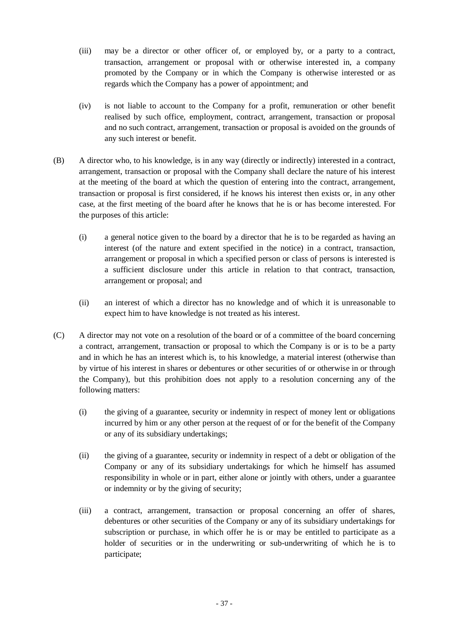- (iii) may be a director or other officer of, or employed by, or a party to a contract, transaction, arrangement or proposal with or otherwise interested in, a company promoted by the Company or in which the Company is otherwise interested or as regards which the Company has a power of appointment; and
- (iv) is not liable to account to the Company for a profit, remuneration or other benefit realised by such office, employment, contract, arrangement, transaction or proposal and no such contract, arrangement, transaction or proposal is avoided on the grounds of any such interest or benefit.
- (B) A director who, to his knowledge, is in any way (directly or indirectly) interested in a contract, arrangement, transaction or proposal with the Company shall declare the nature of his interest at the meeting of the board at which the question of entering into the contract, arrangement, transaction or proposal is first considered, if he knows his interest then exists or, in any other case, at the first meeting of the board after he knows that he is or has become interested. For the purposes of this article:
	- (i) a general notice given to the board by a director that he is to be regarded as having an interest (of the nature and extent specified in the notice) in a contract, transaction, arrangement or proposal in which a specified person or class of persons is interested is a sufficient disclosure under this article in relation to that contract, transaction, arrangement or proposal; and
	- (ii) an interest of which a director has no knowledge and of which it is unreasonable to expect him to have knowledge is not treated as his interest.
- (C) A director may not vote on a resolution of the board or of a committee of the board concerning a contract, arrangement, transaction or proposal to which the Company is or is to be a party and in which he has an interest which is, to his knowledge, a material interest (otherwise than by virtue of his interest in shares or debentures or other securities of or otherwise in or through the Company), but this prohibition does not apply to a resolution concerning any of the following matters:
	- (i) the giving of a guarantee, security or indemnity in respect of money lent or obligations incurred by him or any other person at the request of or for the benefit of the Company or any of its subsidiary undertakings;
	- (ii) the giving of a guarantee, security or indemnity in respect of a debt or obligation of the Company or any of its subsidiary undertakings for which he himself has assumed responsibility in whole or in part, either alone or jointly with others, under a guarantee or indemnity or by the giving of security;
	- (iii) a contract, arrangement, transaction or proposal concerning an offer of shares, debentures or other securities of the Company or any of its subsidiary undertakings for subscription or purchase, in which offer he is or may be entitled to participate as a holder of securities or in the underwriting or sub-underwriting of which he is to participate;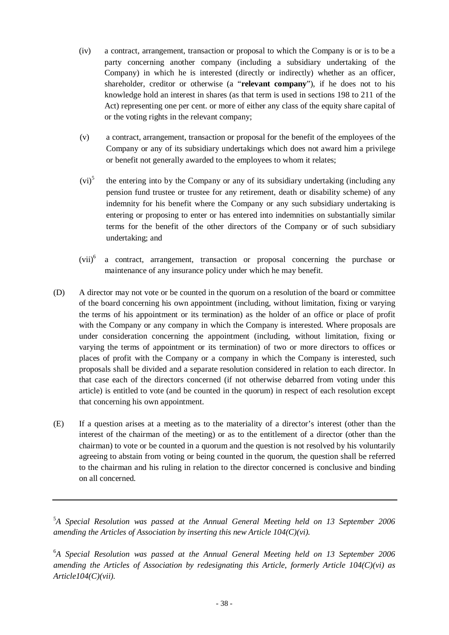- (iv) a contract, arrangement, transaction or proposal to which the Company is or is to be a party concerning another company (including a subsidiary undertaking of the Company) in which he is interested (directly or indirectly) whether as an officer, shareholder, creditor or otherwise (a "**relevant company**"), if he does not to his knowledge hold an interest in shares (as that term is used in sections 198 to 211 of the Act) representing one per cent. or more of either any class of the equity share capital of or the voting rights in the relevant company;
- (v) a contract, arrangement, transaction or proposal for the benefit of the employees of the Company or any of its subsidiary undertakings which does not award him a privilege or benefit not generally awarded to the employees to whom it relates;
- $(vi)^5$  the entering into by the Company or any of its subsidiary undertaking (including any pension fund trustee or trustee for any retirement, death or disability scheme) of any indemnity for his benefit where the Company or any such subsidiary undertaking is entering or proposing to enter or has entered into indemnities on substantially similar terms for the benefit of the other directors of the Company or of such subsidiary undertaking; and
- $(vii)^6$  a contract, arrangement, transaction or proposal concerning the purchase or maintenance of any insurance policy under which he may benefit.
- (D) A director may not vote or be counted in the quorum on a resolution of the board or committee of the board concerning his own appointment (including, without limitation, fixing or varying the terms of his appointment or its termination) as the holder of an office or place of profit with the Company or any company in which the Company is interested. Where proposals are under consideration concerning the appointment (including, without limitation, fixing or varying the terms of appointment or its termination) of two or more directors to offices or places of profit with the Company or a company in which the Company is interested, such proposals shall be divided and a separate resolution considered in relation to each director. In that case each of the directors concerned (if not otherwise debarred from voting under this article) is entitled to vote (and be counted in the quorum) in respect of each resolution except that concerning his own appointment.
- (E) If a question arises at a meeting as to the materiality of a director's interest (other than the interest of the chairman of the meeting) or as to the entitlement of a director (other than the chairman) to vote or be counted in a quorum and the question is not resolved by his voluntarily agreeing to abstain from voting or being counted in the quorum, the question shall be referred to the chairman and his ruling in relation to the director concerned is conclusive and binding on all concerned.

<sup>&</sup>lt;sup>5</sup>A Special Resolution was passed at the Annual General Meeting held on 13 September 2006 *amending the Articles of Association by inserting this new Article 104(C)(vi).* 

<sup>&</sup>lt;sup>6</sup>A Special Resolution was passed at the Annual General Meeting held on 13 September 2006 *amending the Articles of Association by redesignating this Article, formerly Article 104(C)(vi) as Article104(C)(vii).*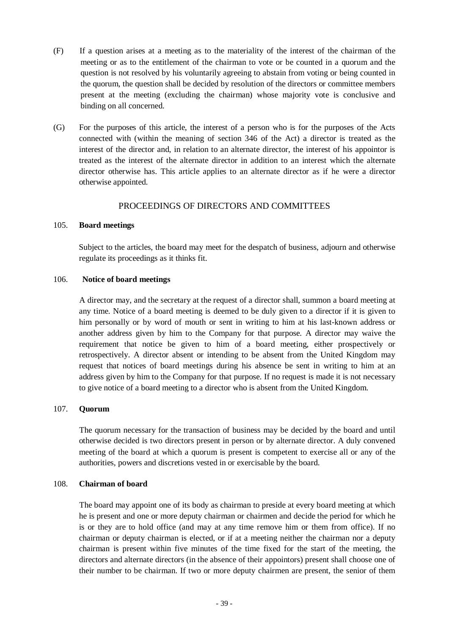- (F) If a question arises at a meeting as to the materiality of the interest of the chairman of the meeting or as to the entitlement of the chairman to vote or be counted in a quorum and the question is not resolved by his voluntarily agreeing to abstain from voting or being counted in the quorum, the question shall be decided by resolution of the directors or committee members present at the meeting (excluding the chairman) whose majority vote is conclusive and binding on all concerned.
- (G) For the purposes of this article, the interest of a person who is for the purposes of the Acts connected with (within the meaning of section 346 of the Act) a director is treated as the interest of the director and, in relation to an alternate director, the interest of his appointor is treated as the interest of the alternate director in addition to an interest which the alternate director otherwise has. This article applies to an alternate director as if he were a director otherwise appointed.

## PROCEEDINGS OF DIRECTORS AND COMMITTEES

#### 105. **Board meetings**

Subject to the articles, the board may meet for the despatch of business, adjourn and otherwise regulate its proceedings as it thinks fit.

#### 106. **Notice of board meetings**

A director may, and the secretary at the request of a director shall, summon a board meeting at any time. Notice of a board meeting is deemed to be duly given to a director if it is given to him personally or by word of mouth or sent in writing to him at his last-known address or another address given by him to the Company for that purpose. A director may waive the requirement that notice be given to him of a board meeting, either prospectively or retrospectively. A director absent or intending to be absent from the United Kingdom may request that notices of board meetings during his absence be sent in writing to him at an address given by him to the Company for that purpose. If no request is made it is not necessary to give notice of a board meeting to a director who is absent from the United Kingdom.

## 107. **Quorum**

The quorum necessary for the transaction of business may be decided by the board and until otherwise decided is two directors present in person or by alternate director. A duly convened meeting of the board at which a quorum is present is competent to exercise all or any of the authorities, powers and discretions vested in or exercisable by the board.

#### 108. **Chairman of board**

The board may appoint one of its body as chairman to preside at every board meeting at which he is present and one or more deputy chairman or chairmen and decide the period for which he is or they are to hold office (and may at any time remove him or them from office). If no chairman or deputy chairman is elected, or if at a meeting neither the chairman nor a deputy chairman is present within five minutes of the time fixed for the start of the meeting, the directors and alternate directors (in the absence of their appointors) present shall choose one of their number to be chairman. If two or more deputy chairmen are present, the senior of them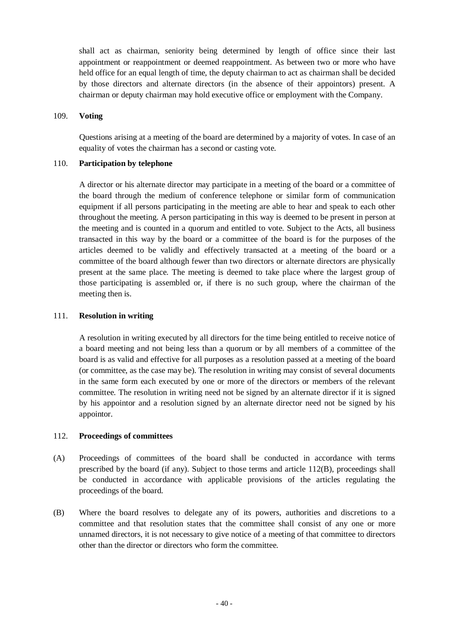shall act as chairman, seniority being determined by length of office since their last appointment or reappointment or deemed reappointment. As between two or more who have held office for an equal length of time, the deputy chairman to act as chairman shall be decided by those directors and alternate directors (in the absence of their appointors) present. A chairman or deputy chairman may hold executive office or employment with the Company.

#### 109. **Voting**

Questions arising at a meeting of the board are determined by a majority of votes. In case of an equality of votes the chairman has a second or casting vote.

#### 110. **Participation by telephone**

A director or his alternate director may participate in a meeting of the board or a committee of the board through the medium of conference telephone or similar form of communication equipment if all persons participating in the meeting are able to hear and speak to each other throughout the meeting. A person participating in this way is deemed to be present in person at the meeting and is counted in a quorum and entitled to vote. Subject to the Acts, all business transacted in this way by the board or a committee of the board is for the purposes of the articles deemed to be validly and effectively transacted at a meeting of the board or a committee of the board although fewer than two directors or alternate directors are physically present at the same place. The meeting is deemed to take place where the largest group of those participating is assembled or, if there is no such group, where the chairman of the meeting then is.

#### 111. **Resolution in writing**

A resolution in writing executed by all directors for the time being entitled to receive notice of a board meeting and not being less than a quorum or by all members of a committee of the board is as valid and effective for all purposes as a resolution passed at a meeting of the board (or committee, as the case may be). The resolution in writing may consist of several documents in the same form each executed by one or more of the directors or members of the relevant committee. The resolution in writing need not be signed by an alternate director if it is signed by his appointor and a resolution signed by an alternate director need not be signed by his appointor.

#### 112. **Proceedings of committees**

- (A) Proceedings of committees of the board shall be conducted in accordance with terms prescribed by the board (if any). Subject to those terms and article 112(B), proceedings shall be conducted in accordance with applicable provisions of the articles regulating the proceedings of the board.
- (B) Where the board resolves to delegate any of its powers, authorities and discretions to a committee and that resolution states that the committee shall consist of any one or more unnamed directors, it is not necessary to give notice of a meeting of that committee to directors other than the director or directors who form the committee.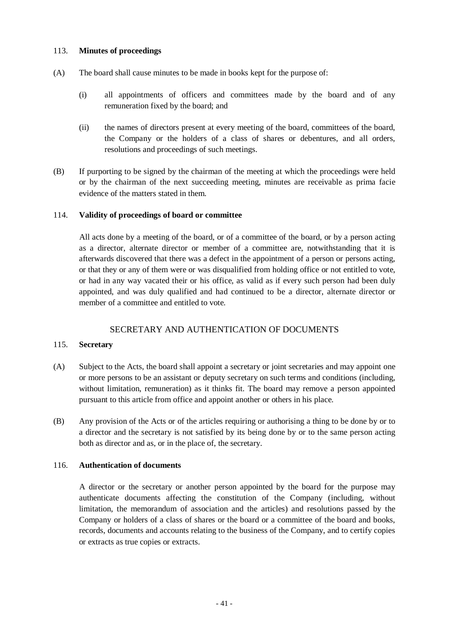## 113. **Minutes of proceedings**

- (A) The board shall cause minutes to be made in books kept for the purpose of:
	- (i) all appointments of officers and committees made by the board and of any remuneration fixed by the board; and
	- (ii) the names of directors present at every meeting of the board, committees of the board, the Company or the holders of a class of shares or debentures, and all orders, resolutions and proceedings of such meetings.
- (B) If purporting to be signed by the chairman of the meeting at which the proceedings were held or by the chairman of the next succeeding meeting, minutes are receivable as prima facie evidence of the matters stated in them.

## 114. **Validity of proceedings of board or committee**

All acts done by a meeting of the board, or of a committee of the board, or by a person acting as a director, alternate director or member of a committee are, notwithstanding that it is afterwards discovered that there was a defect in the appointment of a person or persons acting, or that they or any of them were or was disqualified from holding office or not entitled to vote, or had in any way vacated their or his office, as valid as if every such person had been duly appointed, and was duly qualified and had continued to be a director, alternate director or member of a committee and entitled to vote.

## SECRETARY AND AUTHENTICATION OF DOCUMENTS

## 115. **Secretary**

- (A) Subject to the Acts, the board shall appoint a secretary or joint secretaries and may appoint one or more persons to be an assistant or deputy secretary on such terms and conditions (including, without limitation, remuneration) as it thinks fit. The board may remove a person appointed pursuant to this article from office and appoint another or others in his place.
- (B) Any provision of the Acts or of the articles requiring or authorising a thing to be done by or to a director and the secretary is not satisfied by its being done by or to the same person acting both as director and as, or in the place of, the secretary.

## 116. **Authentication of documents**

A director or the secretary or another person appointed by the board for the purpose may authenticate documents affecting the constitution of the Company (including, without limitation, the memorandum of association and the articles) and resolutions passed by the Company or holders of a class of shares or the board or a committee of the board and books, records, documents and accounts relating to the business of the Company, and to certify copies or extracts as true copies or extracts.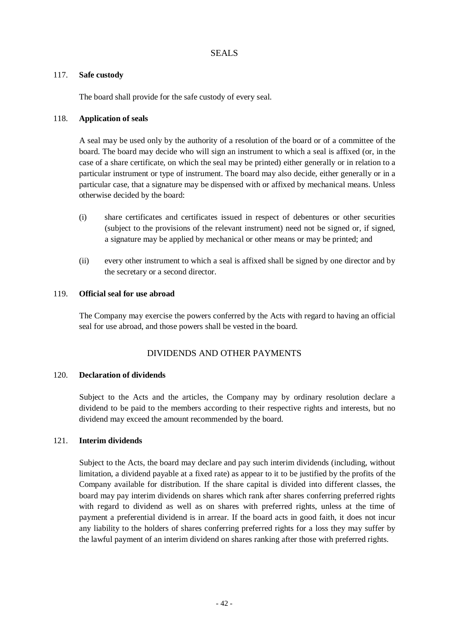#### 117. **Safe custody**

The board shall provide for the safe custody of every seal.

## 118. **Application of seals**

A seal may be used only by the authority of a resolution of the board or of a committee of the board. The board may decide who will sign an instrument to which a seal is affixed (or, in the case of a share certificate, on which the seal may be printed) either generally or in relation to a particular instrument or type of instrument. The board may also decide, either generally or in a particular case, that a signature may be dispensed with or affixed by mechanical means. Unless otherwise decided by the board:

- (i) share certificates and certificates issued in respect of debentures or other securities (subject to the provisions of the relevant instrument) need not be signed or, if signed, a signature may be applied by mechanical or other means or may be printed; and
- (ii) every other instrument to which a seal is affixed shall be signed by one director and by the secretary or a second director.

#### 119. **Official seal for use abroad**

The Company may exercise the powers conferred by the Acts with regard to having an official seal for use abroad, and those powers shall be vested in the board.

## DIVIDENDS AND OTHER PAYMENTS

#### 120. **Declaration of dividends**

Subject to the Acts and the articles, the Company may by ordinary resolution declare a dividend to be paid to the members according to their respective rights and interests, but no dividend may exceed the amount recommended by the board.

### 121. **Interim dividends**

Subject to the Acts, the board may declare and pay such interim dividends (including, without limitation, a dividend payable at a fixed rate) as appear to it to be justified by the profits of the Company available for distribution. If the share capital is divided into different classes, the board may pay interim dividends on shares which rank after shares conferring preferred rights with regard to dividend as well as on shares with preferred rights, unless at the time of payment a preferential dividend is in arrear. If the board acts in good faith, it does not incur any liability to the holders of shares conferring preferred rights for a loss they may suffer by the lawful payment of an interim dividend on shares ranking after those with preferred rights.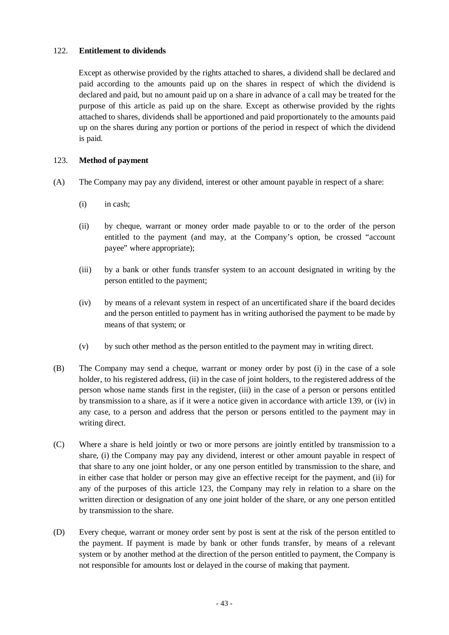## 122. **Entitlement to dividends**

Except as otherwise provided by the rights attached to shares, a dividend shall be declared and paid according to the amounts paid up on the shares in respect of which the dividend is declared and paid, but no amount paid up on a share in advance of a call may be treated for the purpose of this article as paid up on the share. Except as otherwise provided by the rights attached to shares, dividends shall be apportioned and paid proportionately to the amounts paid up on the shares during any portion or portions of the period in respect of which the dividend is paid.

## 123. **Method of payment**

- (A) The Company may pay any dividend, interest or other amount payable in respect of a share:
	- (i) in cash;
	- (ii) by cheque, warrant or money order made payable to or to the order of the person entitled to the payment (and may, at the Company's option, be crossed "account payee" where appropriate);
	- (iii) by a bank or other funds transfer system to an account designated in writing by the person entitled to the payment;
	- (iv) by means of a relevant system in respect of an uncertificated share if the board decides and the person entitled to payment has in writing authorised the payment to be made by means of that system; or
	- (v) by such other method as the person entitled to the payment may in writing direct.
- (B) The Company may send a cheque, warrant or money order by post (i) in the case of a sole holder, to his registered address, (ii) in the case of joint holders, to the registered address of the person whose name stands first in the register, (iii) in the case of a person or persons entitled by transmission to a share, as if it were a notice given in accordance with article 139, or (iv) in any case, to a person and address that the person or persons entitled to the payment may in writing direct.
- (C) Where a share is held jointly or two or more persons are jointly entitled by transmission to a share, (i) the Company may pay any dividend, interest or other amount payable in respect of that share to any one joint holder, or any one person entitled by transmission to the share, and in either case that holder or person may give an effective receipt for the payment, and (ii) for any of the purposes of this article 123, the Company may rely in relation to a share on the written direction or designation of any one joint holder of the share, or any one person entitled by transmission to the share.
- (D) Every cheque, warrant or money order sent by post is sent at the risk of the person entitled to the payment. If payment is made by bank or other funds transfer, by means of a relevant system or by another method at the direction of the person entitled to payment, the Company is not responsible for amounts lost or delayed in the course of making that payment.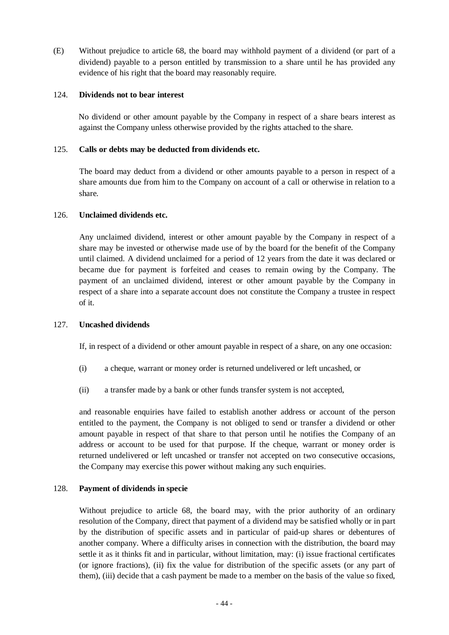(E) Without prejudice to article 68, the board may withhold payment of a dividend (or part of a dividend) payable to a person entitled by transmission to a share until he has provided any evidence of his right that the board may reasonably require.

#### 124. **Dividends not to bear interest**

No dividend or other amount payable by the Company in respect of a share bears interest as against the Company unless otherwise provided by the rights attached to the share.

## 125. **Calls or debts may be deducted from dividends etc.**

The board may deduct from a dividend or other amounts payable to a person in respect of a share amounts due from him to the Company on account of a call or otherwise in relation to a share.

## 126. **Unclaimed dividends etc.**

Any unclaimed dividend, interest or other amount payable by the Company in respect of a share may be invested or otherwise made use of by the board for the benefit of the Company until claimed. A dividend unclaimed for a period of 12 years from the date it was declared or became due for payment is forfeited and ceases to remain owing by the Company. The payment of an unclaimed dividend, interest or other amount payable by the Company in respect of a share into a separate account does not constitute the Company a trustee in respect of it.

## 127. **Uncashed dividends**

If, in respect of a dividend or other amount payable in respect of a share, on any one occasion:

- (i) a cheque, warrant or money order is returned undelivered or left uncashed, or
- (ii) a transfer made by a bank or other funds transfer system is not accepted,

and reasonable enquiries have failed to establish another address or account of the person entitled to the payment, the Company is not obliged to send or transfer a dividend or other amount payable in respect of that share to that person until he notifies the Company of an address or account to be used for that purpose. If the cheque, warrant or money order is returned undelivered or left uncashed or transfer not accepted on two consecutive occasions, the Company may exercise this power without making any such enquiries.

## 128. **Payment of dividends in specie**

Without prejudice to article 68, the board may, with the prior authority of an ordinary resolution of the Company, direct that payment of a dividend may be satisfied wholly or in part by the distribution of specific assets and in particular of paid-up shares or debentures of another company. Where a difficulty arises in connection with the distribution, the board may settle it as it thinks fit and in particular, without limitation, may: (i) issue fractional certificates (or ignore fractions), (ii) fix the value for distribution of the specific assets (or any part of them), (iii) decide that a cash payment be made to a member on the basis of the value so fixed,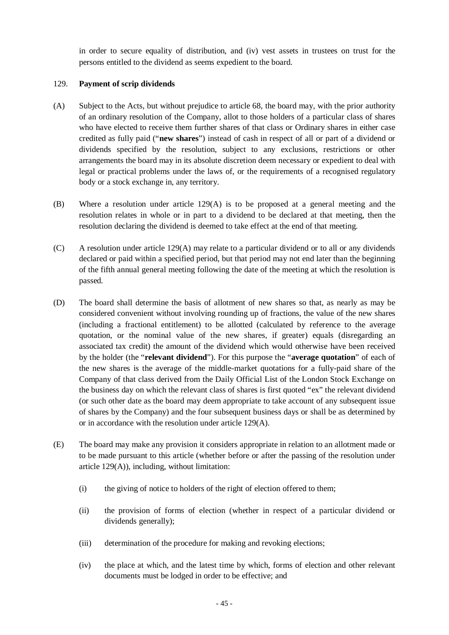in order to secure equality of distribution, and (iv) vest assets in trustees on trust for the persons entitled to the dividend as seems expedient to the board.

## 129. **Payment of scrip dividends**

- (A) Subject to the Acts, but without prejudice to article 68, the board may, with the prior authority of an ordinary resolution of the Company, allot to those holders of a particular class of shares who have elected to receive them further shares of that class or Ordinary shares in either case credited as fully paid ("**new shares**") instead of cash in respect of all or part of a dividend or dividends specified by the resolution, subject to any exclusions, restrictions or other arrangements the board may in its absolute discretion deem necessary or expedient to deal with legal or practical problems under the laws of, or the requirements of a recognised regulatory body or a stock exchange in, any territory.
- (B) Where a resolution under article 129(A) is to be proposed at a general meeting and the resolution relates in whole or in part to a dividend to be declared at that meeting, then the resolution declaring the dividend is deemed to take effect at the end of that meeting.
- (C) A resolution under article 129(A) may relate to a particular dividend or to all or any dividends declared or paid within a specified period, but that period may not end later than the beginning of the fifth annual general meeting following the date of the meeting at which the resolution is passed.
- (D) The board shall determine the basis of allotment of new shares so that, as nearly as may be considered convenient without involving rounding up of fractions, the value of the new shares (including a fractional entitlement) to be allotted (calculated by reference to the average quotation, or the nominal value of the new shares, if greater) equals (disregarding an associated tax credit) the amount of the dividend which would otherwise have been received by the holder (the "**relevant dividend**"). For this purpose the "**average quotation**" of each of the new shares is the average of the middle-market quotations for a fully-paid share of the Company of that class derived from the Daily Official List of the London Stock Exchange on the business day on which the relevant class of shares is first quoted "ex" the relevant dividend (or such other date as the board may deem appropriate to take account of any subsequent issue of shares by the Company) and the four subsequent business days or shall be as determined by or in accordance with the resolution under article 129(A).
- (E) The board may make any provision it considers appropriate in relation to an allotment made or to be made pursuant to this article (whether before or after the passing of the resolution under article 129(A)), including, without limitation:
	- (i) the giving of notice to holders of the right of election offered to them;
	- (ii) the provision of forms of election (whether in respect of a particular dividend or dividends generally);
	- (iii) determination of the procedure for making and revoking elections;
	- (iv) the place at which, and the latest time by which, forms of election and other relevant documents must be lodged in order to be effective; and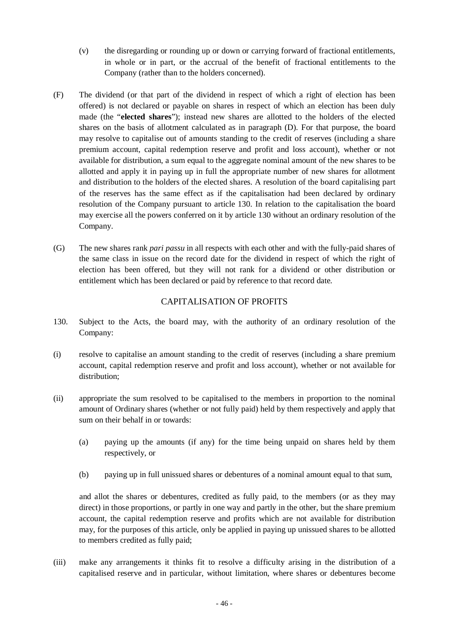- (v) the disregarding or rounding up or down or carrying forward of fractional entitlements, in whole or in part, or the accrual of the benefit of fractional entitlements to the Company (rather than to the holders concerned).
- (F) The dividend (or that part of the dividend in respect of which a right of election has been offered) is not declared or payable on shares in respect of which an election has been duly made (the "**elected shares**"); instead new shares are allotted to the holders of the elected shares on the basis of allotment calculated as in paragraph (D). For that purpose, the board may resolve to capitalise out of amounts standing to the credit of reserves (including a share premium account, capital redemption reserve and profit and loss account), whether or not available for distribution, a sum equal to the aggregate nominal amount of the new shares to be allotted and apply it in paying up in full the appropriate number of new shares for allotment and distribution to the holders of the elected shares. A resolution of the board capitalising part of the reserves has the same effect as if the capitalisation had been declared by ordinary resolution of the Company pursuant to article 130. In relation to the capitalisation the board may exercise all the powers conferred on it by article 130 without an ordinary resolution of the Company.
- (G) The new shares rank *pari passu* in all respects with each other and with the fully-paid shares of the same class in issue on the record date for the dividend in respect of which the right of election has been offered, but they will not rank for a dividend or other distribution or entitlement which has been declared or paid by reference to that record date.

## CAPITALISATION OF PROFITS

- 130. Subject to the Acts, the board may, with the authority of an ordinary resolution of the Company:
- (i) resolve to capitalise an amount standing to the credit of reserves (including a share premium account, capital redemption reserve and profit and loss account), whether or not available for distribution;
- (ii) appropriate the sum resolved to be capitalised to the members in proportion to the nominal amount of Ordinary shares (whether or not fully paid) held by them respectively and apply that sum on their behalf in or towards:
	- (a) paying up the amounts (if any) for the time being unpaid on shares held by them respectively, or
	- (b) paying up in full unissued shares or debentures of a nominal amount equal to that sum,

and allot the shares or debentures, credited as fully paid, to the members (or as they may direct) in those proportions, or partly in one way and partly in the other, but the share premium account, the capital redemption reserve and profits which are not available for distribution may, for the purposes of this article, only be applied in paying up unissued shares to be allotted to members credited as fully paid;

(iii) make any arrangements it thinks fit to resolve a difficulty arising in the distribution of a capitalised reserve and in particular, without limitation, where shares or debentures become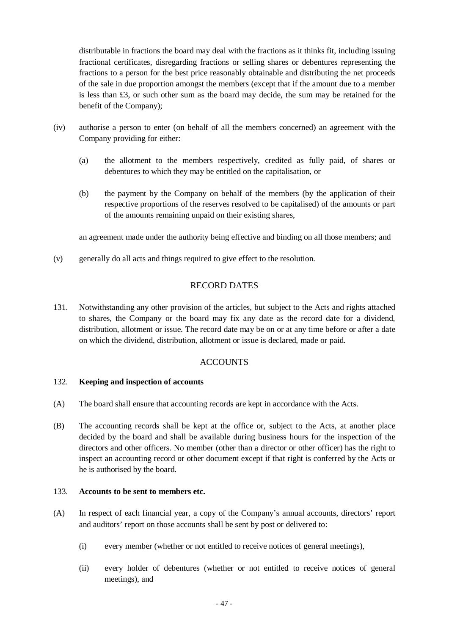distributable in fractions the board may deal with the fractions as it thinks fit, including issuing fractional certificates, disregarding fractions or selling shares or debentures representing the fractions to a person for the best price reasonably obtainable and distributing the net proceeds of the sale in due proportion amongst the members (except that if the amount due to a member is less than  $£3$ , or such other sum as the board may decide, the sum may be retained for the benefit of the Company);

- (iv) authorise a person to enter (on behalf of all the members concerned) an agreement with the Company providing for either:
	- (a) the allotment to the members respectively, credited as fully paid, of shares or debentures to which they may be entitled on the capitalisation, or
	- (b) the payment by the Company on behalf of the members (by the application of their respective proportions of the reserves resolved to be capitalised) of the amounts or part of the amounts remaining unpaid on their existing shares,

an agreement made under the authority being effective and binding on all those members; and

(v) generally do all acts and things required to give effect to the resolution.

## RECORD DATES

131. Notwithstanding any other provision of the articles, but subject to the Acts and rights attached to shares, the Company or the board may fix any date as the record date for a dividend, distribution, allotment or issue. The record date may be on or at any time before or after a date on which the dividend, distribution, allotment or issue is declared, made or paid.

## **ACCOUNTS**

#### 132. **Keeping and inspection of accounts**

- (A) The board shall ensure that accounting records are kept in accordance with the Acts.
- (B) The accounting records shall be kept at the office or, subject to the Acts, at another place decided by the board and shall be available during business hours for the inspection of the directors and other officers. No member (other than a director or other officer) has the right to inspect an accounting record or other document except if that right is conferred by the Acts or he is authorised by the board.

#### 133. **Accounts to be sent to members etc.**

- (A) In respect of each financial year, a copy of the Company's annual accounts, directors' report and auditors' report on those accounts shall be sent by post or delivered to:
	- (i) every member (whether or not entitled to receive notices of general meetings),
	- (ii) every holder of debentures (whether or not entitled to receive notices of general meetings), and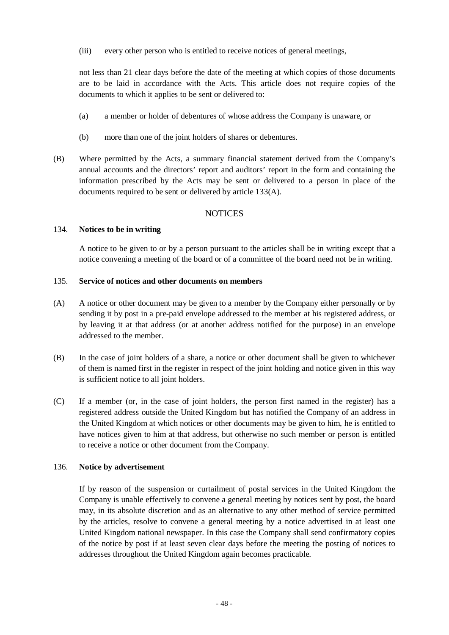(iii) every other person who is entitled to receive notices of general meetings,

not less than 21 clear days before the date of the meeting at which copies of those documents are to be laid in accordance with the Acts. This article does not require copies of the documents to which it applies to be sent or delivered to:

- (a) a member or holder of debentures of whose address the Company is unaware, or
- (b) more than one of the joint holders of shares or debentures.
- (B) Where permitted by the Acts, a summary financial statement derived from the Company's annual accounts and the directors' report and auditors' report in the form and containing the information prescribed by the Acts may be sent or delivered to a person in place of the documents required to be sent or delivered by article 133(A).

#### **NOTICES**

#### 134. **Notices to be in writing**

A notice to be given to or by a person pursuant to the articles shall be in writing except that a notice convening a meeting of the board or of a committee of the board need not be in writing.

#### 135. **Service of notices and other documents on members**

- (A) A notice or other document may be given to a member by the Company either personally or by sending it by post in a pre-paid envelope addressed to the member at his registered address, or by leaving it at that address (or at another address notified for the purpose) in an envelope addressed to the member.
- (B) In the case of joint holders of a share, a notice or other document shall be given to whichever of them is named first in the register in respect of the joint holding and notice given in this way is sufficient notice to all joint holders.
- (C) If a member (or, in the case of joint holders, the person first named in the register) has a registered address outside the United Kingdom but has notified the Company of an address in the United Kingdom at which notices or other documents may be given to him, he is entitled to have notices given to him at that address, but otherwise no such member or person is entitled to receive a notice or other document from the Company.

#### 136. **Notice by advertisement**

If by reason of the suspension or curtailment of postal services in the United Kingdom the Company is unable effectively to convene a general meeting by notices sent by post, the board may, in its absolute discretion and as an alternative to any other method of service permitted by the articles, resolve to convene a general meeting by a notice advertised in at least one United Kingdom national newspaper. In this case the Company shall send confirmatory copies of the notice by post if at least seven clear days before the meeting the posting of notices to addresses throughout the United Kingdom again becomes practicable.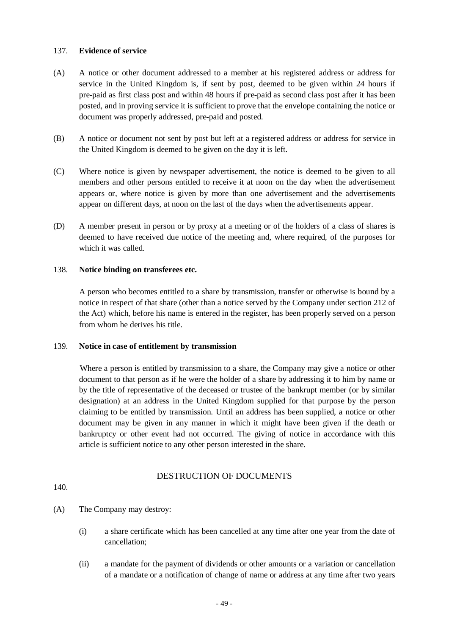#### 137. **Evidence of service**

- (A) A notice or other document addressed to a member at his registered address or address for service in the United Kingdom is, if sent by post, deemed to be given within 24 hours if pre-paid as first class post and within 48 hours if pre-paid as second class post after it has been posted, and in proving service it is sufficient to prove that the envelope containing the notice or document was properly addressed, pre-paid and posted.
- (B) A notice or document not sent by post but left at a registered address or address for service in the United Kingdom is deemed to be given on the day it is left.
- (C) Where notice is given by newspaper advertisement, the notice is deemed to be given to all members and other persons entitled to receive it at noon on the day when the advertisement appears or, where notice is given by more than one advertisement and the advertisements appear on different days, at noon on the last of the days when the advertisements appear.
- (D) A member present in person or by proxy at a meeting or of the holders of a class of shares is deemed to have received due notice of the meeting and, where required, of the purposes for which it was called.

## 138. **Notice binding on transferees etc.**

A person who becomes entitled to a share by transmission, transfer or otherwise is bound by a notice in respect of that share (other than a notice served by the Company under section 212 of the Act) which, before his name is entered in the register, has been properly served on a person from whom he derives his title.

#### 139. **Notice in case of entitlement by transmission**

Where a person is entitled by transmission to a share, the Company may give a notice or other document to that person as if he were the holder of a share by addressing it to him by name or by the title of representative of the deceased or trustee of the bankrupt member (or by similar designation) at an address in the United Kingdom supplied for that purpose by the person claiming to be entitled by transmission. Until an address has been supplied, a notice or other document may be given in any manner in which it might have been given if the death or bankruptcy or other event had not occurred. The giving of notice in accordance with this article is sufficient notice to any other person interested in the share.

## DESTRUCTION OF DOCUMENTS

140.

- (A) The Company may destroy:
	- (i) a share certificate which has been cancelled at any time after one year from the date of cancellation;
	- (ii) a mandate for the payment of dividends or other amounts or a variation or cancellation of a mandate or a notification of change of name or address at any time after two years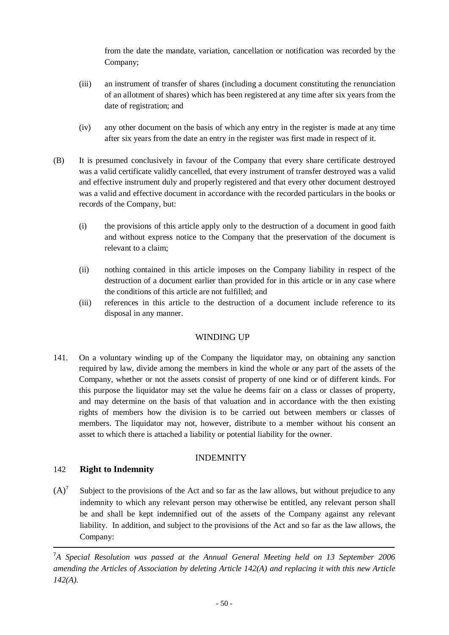from the date the mandate, variation, cancellation or notification was recorded by the Company;

- (iii) an instrument of transfer of shares (including a document constituting the renunciation of an allotment of shares) which has been registered at any time after six years from the date of registration; and
- (iv) any other document on the basis of which any entry in the register is made at any time after six years from the date an entry in the register was first made in respect of it.
- (B) It is presumed conclusively in favour of the Company that every share certificate destroyed was a valid certificate validly cancelled, that every instrument of transfer destroyed was a valid and effective instrument duly and properly registered and that every other document destroyed was a valid and effective document in accordance with the recorded particulars in the books or records of the Company, but:
	- (i) the provisions of this article apply only to the destruction of a document in good faith and without express notice to the Company that the preservation of the document is relevant to a claim;
	- (ii) nothing contained in this article imposes on the Company liability in respect of the destruction of a document earlier than provided for in this article or in any case where the conditions of this article are not fulfilled; and
	- (iii) references in this article to the destruction of a document include reference to its disposal in any manner.

# WINDING UP

141. On a voluntary winding up of the Company the liquidator may, on obtaining any sanction required by law, divide among the members in kind the whole or any part of the assets of the Company, whether or not the assets consist of property of one kind or of different kinds. For this purpose the liquidator may set the value he deems fair on a class or classes of property, and may determine on the basis of that valuation and in accordance with the then existing rights of members how the division is to be carried out between members or classes of members. The liquidator may not, however, distribute to a member without his consent an asset to which there is attached a liability or potential liability for the owner.

# INDEMNITY

# 142 **Right to Indemnity**

 $(A)^7$  Subject to the provisions of the Act and so far as the law allows, but without prejudice to any indemnity to which any relevant person may otherwise be entitled, any relevant person shall be and shall be kept indemnified out of the assets of the Company against any relevant liability. In addition, and subject to the provisions of the Act and so far as the law allows, the Company:

<sup>&</sup>lt;sup>7</sup>A Special Resolution was passed at the Annual General Meeting held on 13 September 2006 *amending the Articles of Association by deleting Article 142(A) and replacing it with this new Article 142(A).*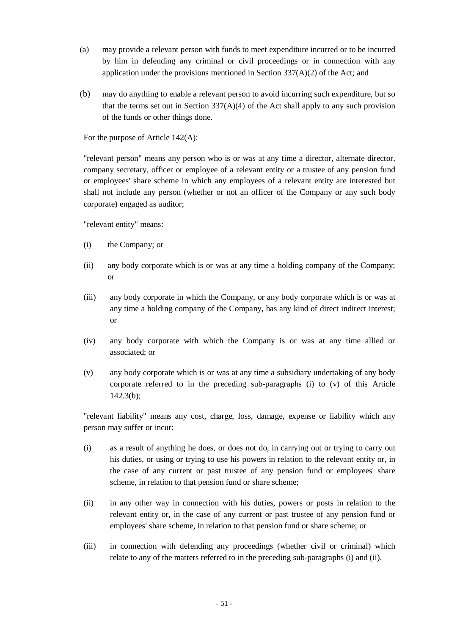- (a) may provide a relevant person with funds to meet expenditure incurred or to be incurred by him in defending any criminal or civil proceedings or in connection with any application under the provisions mentioned in Section 337(A)(2) of the Act; and
- (b) may do anything to enable a relevant person to avoid incurring such expenditure, but so that the terms set out in Section  $337(A)(4)$  of the Act shall apply to any such provision of the funds or other things done.

For the purpose of Article 142(A):

"relevant person" means any person who is or was at any time a director, alternate director, company secretary, officer or employee of a relevant entity or a trustee of any pension fund or employees' share scheme in which any employees of a relevant entity are interested but shall not include any person (whether or not an officer of the Company or any such body corporate) engaged as auditor;

"relevant entity" means:

- (i) the Company; or
- (ii) any body corporate which is or was at any time a holding company of the Company; or
- (iii) any body corporate in which the Company, or any body corporate which is or was at any time a holding company of the Company, has any kind of direct indirect interest; or
- (iv) any body corporate with which the Company is or was at any time allied or associated; or
- (v) any body corporate which is or was at any time a subsidiary undertaking of any body corporate referred to in the preceding sub-paragraphs (i) to (v) of this Article 142.3(b);

"relevant liability" means any cost, charge, loss, damage, expense or liability which any person may suffer or incur:

- (i) as a result of anything he does, or does not do, in carrying out or trying to carry out his duties, or using or trying to use his powers in relation to the relevant entity or, in the case of any current or past trustee of any pension fund or employees' share scheme, in relation to that pension fund or share scheme;
- (ii) in any other way in connection with his duties, powers or posts in relation to the relevant entity or, in the case of any current or past trustee of any pension fund or employees' share scheme, in relation to that pension fund or share scheme; or
- (iii) in connection with defending any proceedings (whether civil or criminal) which relate to any of the matters referred to in the preceding sub-paragraphs (i) and (ii).